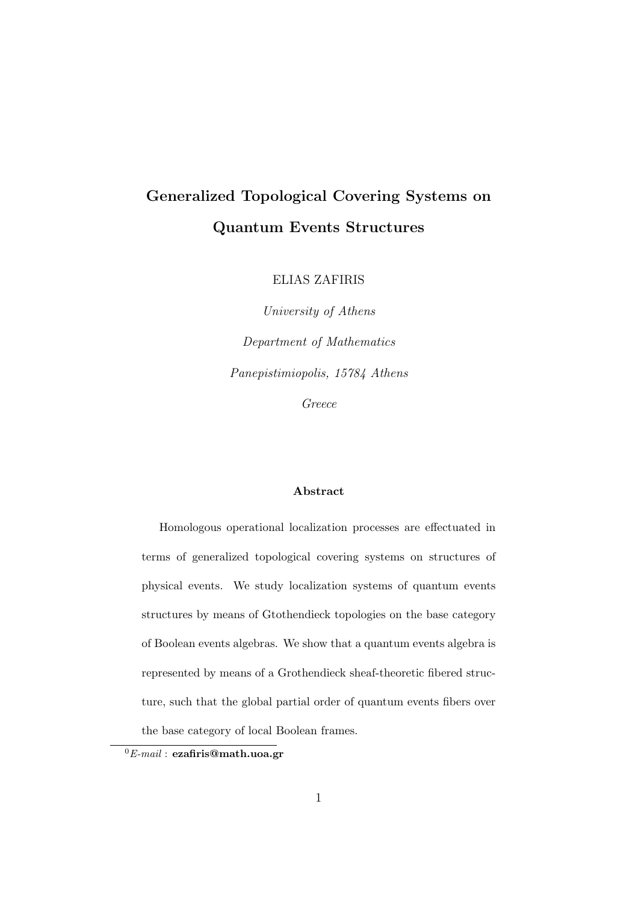### Generalized Topological Covering Systems on Quantum Events Structures

ELIAS ZAFIRIS

University of Athens Department of Mathematics Panepistimiopolis, 15784 Athens Greece

#### Abstract

Homologous operational localization processes are effectuated in terms of generalized topological covering systems on structures of physical events. We study localization systems of quantum events structures by means of Gtothendieck topologies on the base category of Boolean events algebras. We show that a quantum events algebra is represented by means of a Grothendieck sheaf-theoretic fibered structure, such that the global partial order of quantum events fibers over the base category of local Boolean frames.

 ${}^{0}E$ -mail : ezafiris@math.uoa.gr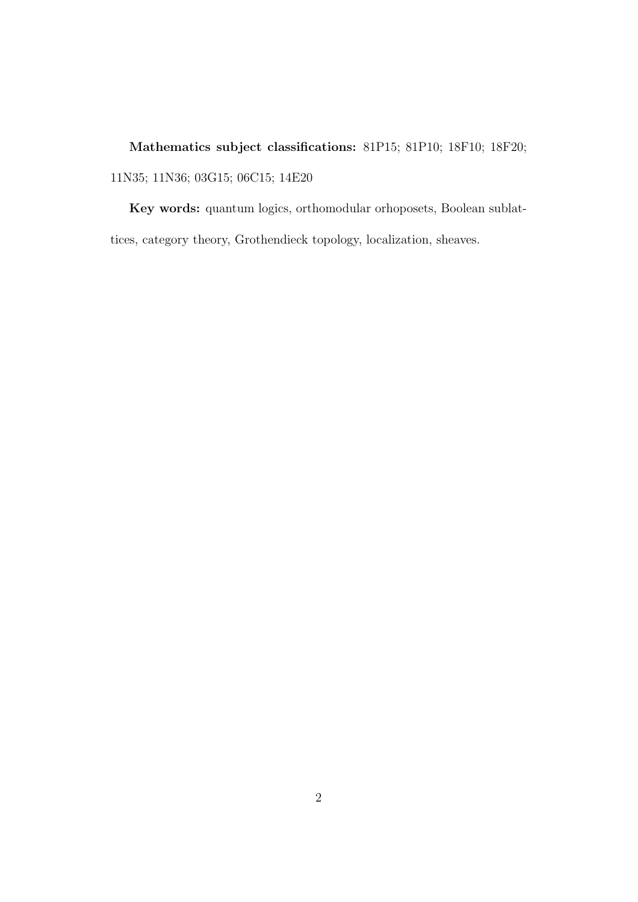Mathematics subject classifications: 81P15; 81P10; 18F10; 18F20; 11N35; 11N36; 03G15; 06C15; 14E20

Key words: quantum logics, orthomodular orhoposets, Boolean sublattices, category theory, Grothendieck topology, localization, sheaves.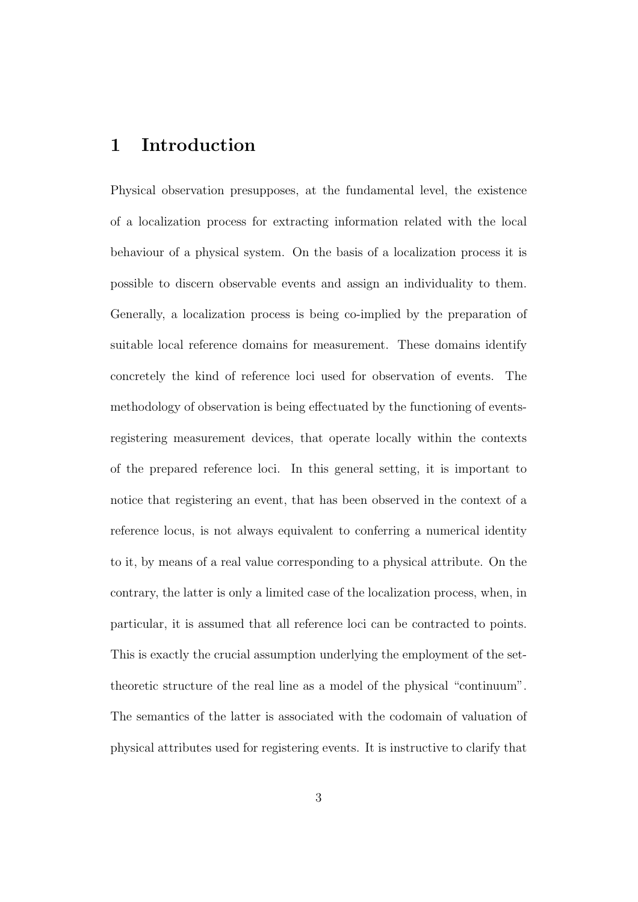### 1 Introduction

Physical observation presupposes, at the fundamental level, the existence of a localization process for extracting information related with the local behaviour of a physical system. On the basis of a localization process it is possible to discern observable events and assign an individuality to them. Generally, a localization process is being co-implied by the preparation of suitable local reference domains for measurement. These domains identify concretely the kind of reference loci used for observation of events. The methodology of observation is being effectuated by the functioning of eventsregistering measurement devices, that operate locally within the contexts of the prepared reference loci. In this general setting, it is important to notice that registering an event, that has been observed in the context of a reference locus, is not always equivalent to conferring a numerical identity to it, by means of a real value corresponding to a physical attribute. On the contrary, the latter is only a limited case of the localization process, when, in particular, it is assumed that all reference loci can be contracted to points. This is exactly the crucial assumption underlying the employment of the settheoretic structure of the real line as a model of the physical "continuum". The semantics of the latter is associated with the codomain of valuation of physical attributes used for registering events. It is instructive to clarify that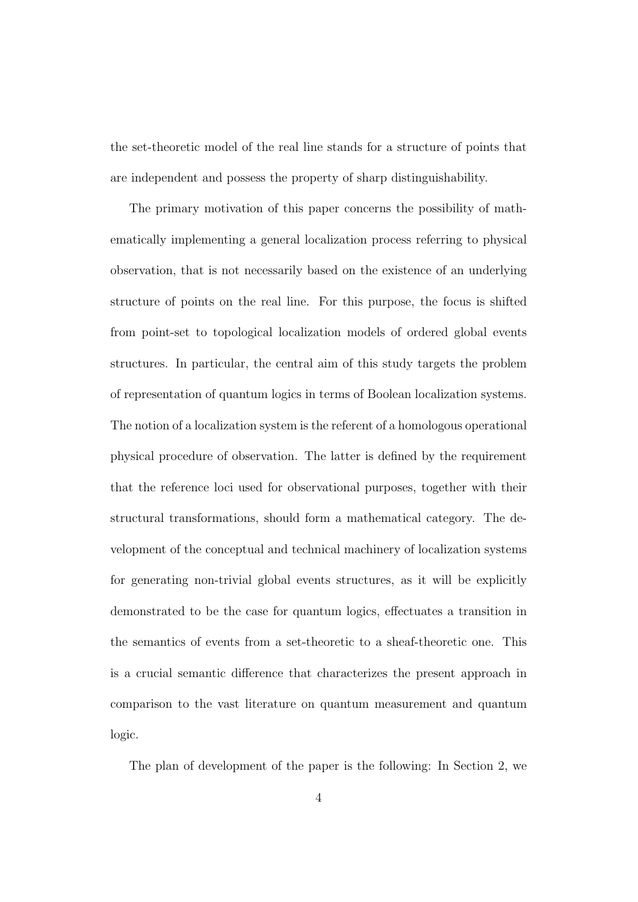the set-theoretic model of the real line stands for a structure of points that are independent and possess the property of sharp distinguishability.

The primary motivation of this paper concerns the possibility of mathematically implementing a general localization process referring to physical observation, that is not necessarily based on the existence of an underlying structure of points on the real line. For this purpose, the focus is shifted from point-set to topological localization models of ordered global events structures. In particular, the central aim of this study targets the problem of representation of quantum logics in terms of Boolean localization systems. The notion of a localization system is the referent of a homologous operational physical procedure of observation. The latter is defined by the requirement that the reference loci used for observational purposes, together with their structural transformations, should form a mathematical category. The development of the conceptual and technical machinery of localization systems for generating non-trivial global events structures, as it will be explicitly demonstrated to be the case for quantum logics, effectuates a transition in the semantics of events from a set-theoretic to a sheaf-theoretic one. This is a crucial semantic difference that characterizes the present approach in comparison to the vast literature on quantum measurement and quantum logic.

The plan of development of the paper is the following: In Section 2, we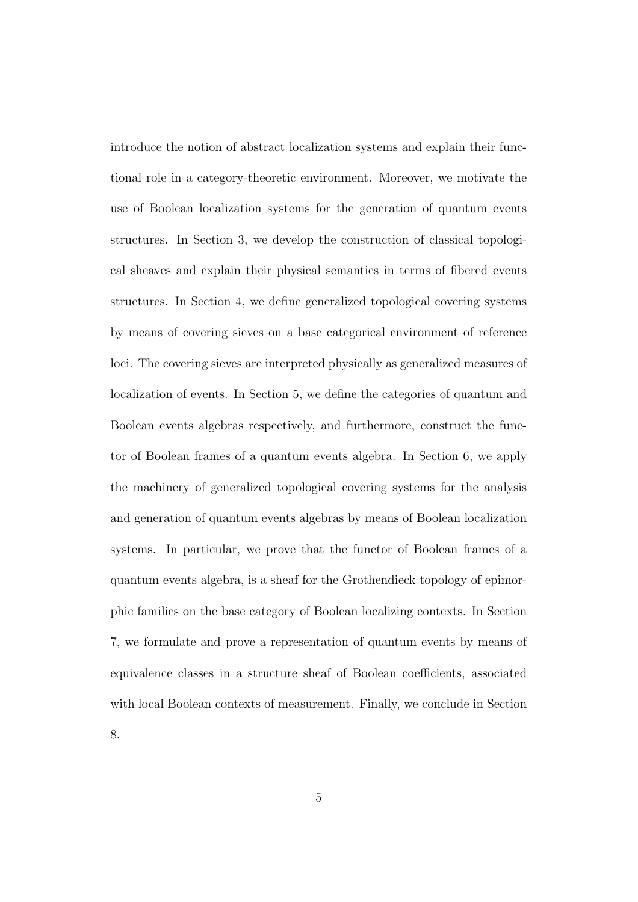introduce the notion of abstract localization systems and explain their functional role in a category-theoretic environment. Moreover, we motivate the use of Boolean localization systems for the generation of quantum events structures. In Section 3, we develop the construction of classical topological sheaves and explain their physical semantics in terms of fibered events structures. In Section 4, we define generalized topological covering systems by means of covering sieves on a base categorical environment of reference loci. The covering sieves are interpreted physically as generalized measures of localization of events. In Section 5, we define the categories of quantum and Boolean events algebras respectively, and furthermore, construct the functor of Boolean frames of a quantum events algebra. In Section 6, we apply the machinery of generalized topological covering systems for the analysis and generation of quantum events algebras by means of Boolean localization systems. In particular, we prove that the functor of Boolean frames of a quantum events algebra, is a sheaf for the Grothendieck topology of epimorphic families on the base category of Boolean localizing contexts. In Section 7, we formulate and prove a representation of quantum events by means of equivalence classes in a structure sheaf of Boolean coefficients, associated with local Boolean contexts of measurement. Finally, we conclude in Section 8.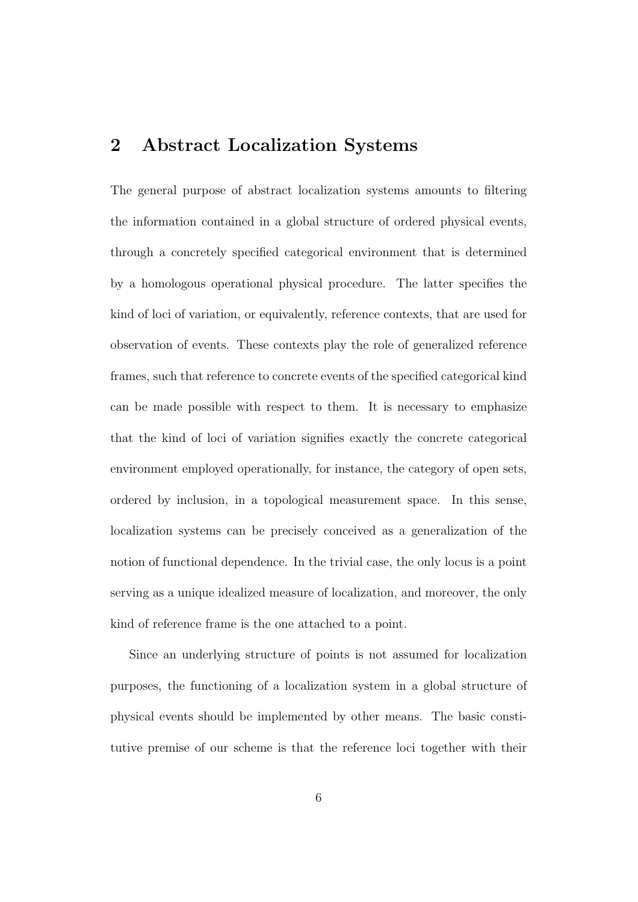#### 2 Abstract Localization Systems

The general purpose of abstract localization systems amounts to filtering the information contained in a global structure of ordered physical events, through a concretely specified categorical environment that is determined by a homologous operational physical procedure. The latter specifies the kind of loci of variation, or equivalently, reference contexts, that are used for observation of events. These contexts play the role of generalized reference frames, such that reference to concrete events of the specified categorical kind can be made possible with respect to them. It is necessary to emphasize that the kind of loci of variation signifies exactly the concrete categorical environment employed operationally, for instance, the category of open sets, ordered by inclusion, in a topological measurement space. In this sense, localization systems can be precisely conceived as a generalization of the notion of functional dependence. In the trivial case, the only locus is a point serving as a unique idealized measure of localization, and moreover, the only kind of reference frame is the one attached to a point.

Since an underlying structure of points is not assumed for localization purposes, the functioning of a localization system in a global structure of physical events should be implemented by other means. The basic constitutive premise of our scheme is that the reference loci together with their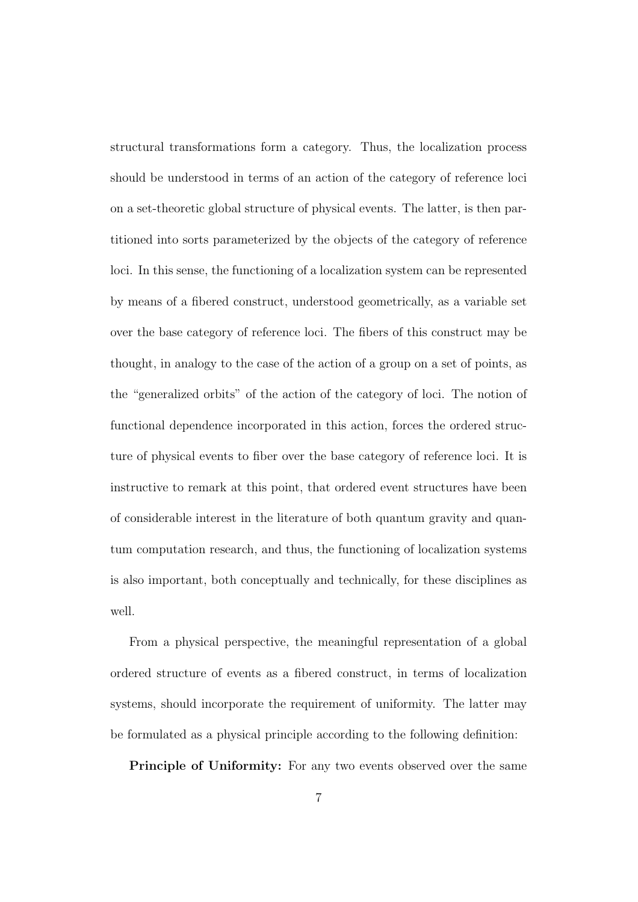structural transformations form a category. Thus, the localization process should be understood in terms of an action of the category of reference loci on a set-theoretic global structure of physical events. The latter, is then partitioned into sorts parameterized by the objects of the category of reference loci. In this sense, the functioning of a localization system can be represented by means of a fibered construct, understood geometrically, as a variable set over the base category of reference loci. The fibers of this construct may be thought, in analogy to the case of the action of a group on a set of points, as the "generalized orbits" of the action of the category of loci. The notion of functional dependence incorporated in this action, forces the ordered structure of physical events to fiber over the base category of reference loci. It is instructive to remark at this point, that ordered event structures have been of considerable interest in the literature of both quantum gravity and quantum computation research, and thus, the functioning of localization systems is also important, both conceptually and technically, for these disciplines as well.

From a physical perspective, the meaningful representation of a global ordered structure of events as a fibered construct, in terms of localization systems, should incorporate the requirement of uniformity. The latter may be formulated as a physical principle according to the following definition:

Principle of Uniformity: For any two events observed over the same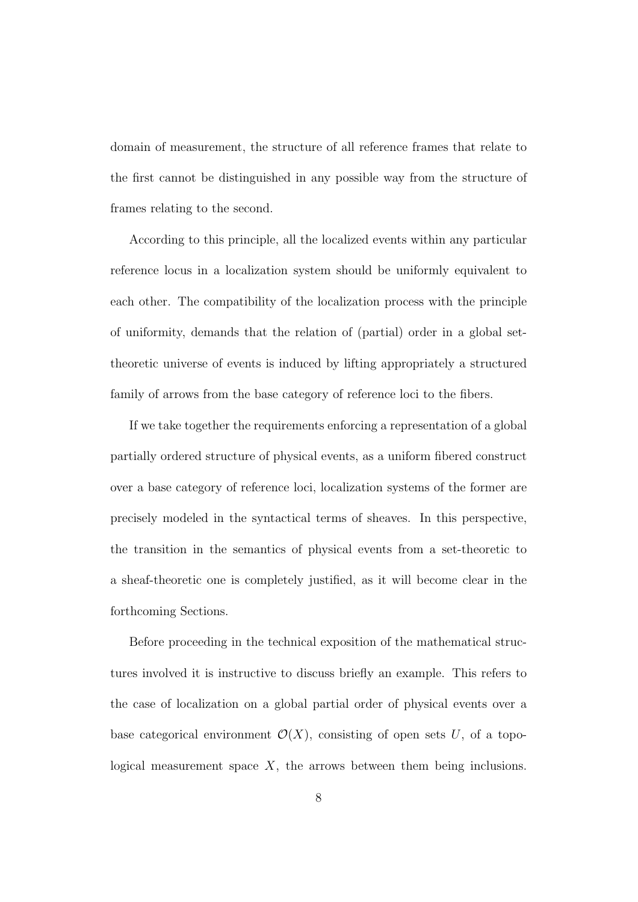domain of measurement, the structure of all reference frames that relate to the first cannot be distinguished in any possible way from the structure of frames relating to the second.

According to this principle, all the localized events within any particular reference locus in a localization system should be uniformly equivalent to each other. The compatibility of the localization process with the principle of uniformity, demands that the relation of (partial) order in a global settheoretic universe of events is induced by lifting appropriately a structured family of arrows from the base category of reference loci to the fibers.

If we take together the requirements enforcing a representation of a global partially ordered structure of physical events, as a uniform fibered construct over a base category of reference loci, localization systems of the former are precisely modeled in the syntactical terms of sheaves. In this perspective, the transition in the semantics of physical events from a set-theoretic to a sheaf-theoretic one is completely justified, as it will become clear in the forthcoming Sections.

Before proceeding in the technical exposition of the mathematical structures involved it is instructive to discuss briefly an example. This refers to the case of localization on a global partial order of physical events over a base categorical environment  $\mathcal{O}(X)$ , consisting of open sets U, of a topological measurement space  $X$ , the arrows between them being inclusions.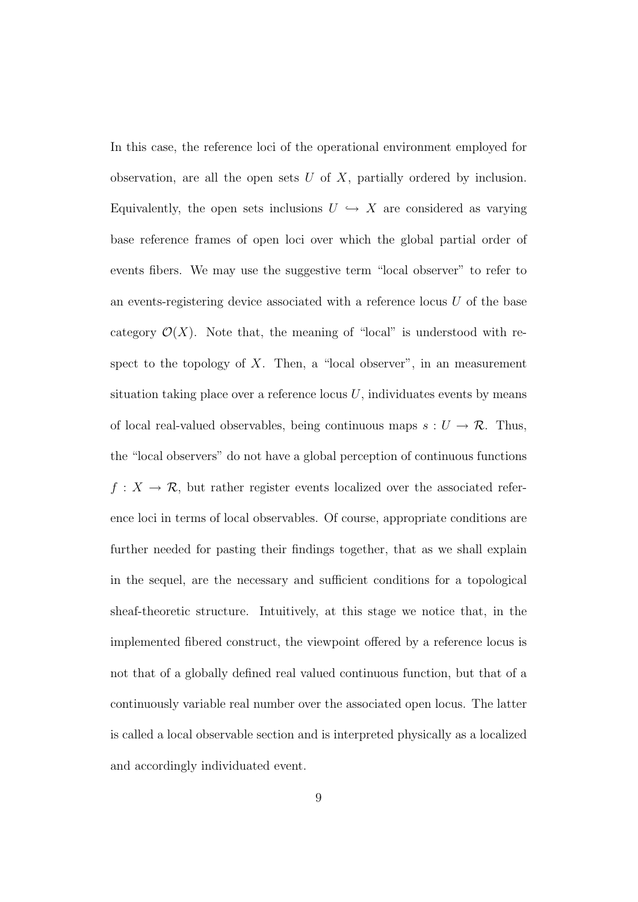In this case, the reference loci of the operational environment employed for observation, are all the open sets  $U$  of  $X$ , partially ordered by inclusion. Equivalently, the open sets inclusions  $U \hookrightarrow X$  are considered as varying base reference frames of open loci over which the global partial order of events fibers. We may use the suggestive term "local observer" to refer to an events-registering device associated with a reference locus  $U$  of the base category  $\mathcal{O}(X)$ . Note that, the meaning of "local" is understood with respect to the topology of  $X$ . Then, a "local observer", in an measurement situation taking place over a reference locus  $U$ , individuates events by means of local real-valued observables, being continuous maps  $s: U \to \mathcal{R}$ . Thus, the "local observers" do not have a global perception of continuous functions  $f: X \to \mathcal{R}$ , but rather register events localized over the associated reference loci in terms of local observables. Of course, appropriate conditions are further needed for pasting their findings together, that as we shall explain in the sequel, are the necessary and sufficient conditions for a topological sheaf-theoretic structure. Intuitively, at this stage we notice that, in the implemented fibered construct, the viewpoint offered by a reference locus is not that of a globally defined real valued continuous function, but that of a continuously variable real number over the associated open locus. The latter is called a local observable section and is interpreted physically as a localized and accordingly individuated event.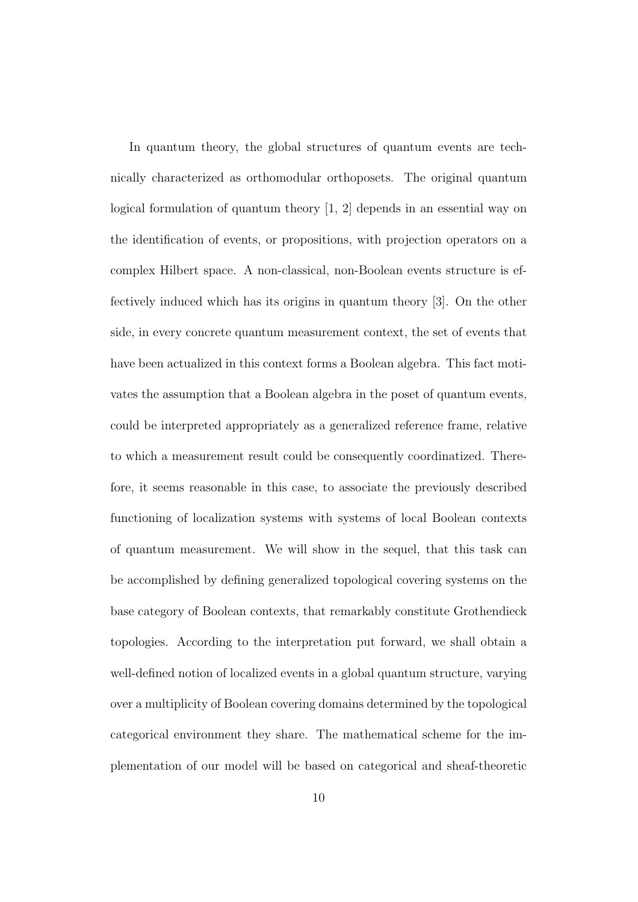In quantum theory, the global structures of quantum events are technically characterized as orthomodular orthoposets. The original quantum logical formulation of quantum theory [1, 2] depends in an essential way on the identification of events, or propositions, with projection operators on a complex Hilbert space. A non-classical, non-Boolean events structure is effectively induced which has its origins in quantum theory [3]. On the other side, in every concrete quantum measurement context, the set of events that have been actualized in this context forms a Boolean algebra. This fact motivates the assumption that a Boolean algebra in the poset of quantum events, could be interpreted appropriately as a generalized reference frame, relative to which a measurement result could be consequently coordinatized. Therefore, it seems reasonable in this case, to associate the previously described functioning of localization systems with systems of local Boolean contexts of quantum measurement. We will show in the sequel, that this task can be accomplished by defining generalized topological covering systems on the base category of Boolean contexts, that remarkably constitute Grothendieck topologies. According to the interpretation put forward, we shall obtain a well-defined notion of localized events in a global quantum structure, varying over a multiplicity of Boolean covering domains determined by the topological categorical environment they share. The mathematical scheme for the implementation of our model will be based on categorical and sheaf-theoretic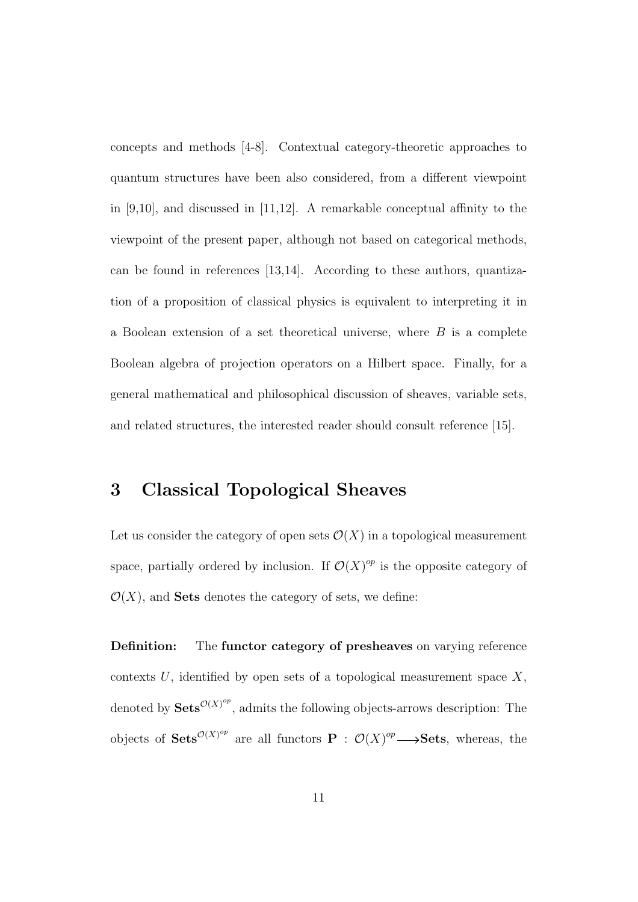concepts and methods [4-8]. Contextual category-theoretic approaches to quantum structures have been also considered, from a different viewpoint in [9,10], and discussed in [11,12]. A remarkable conceptual affinity to the viewpoint of the present paper, although not based on categorical methods, can be found in references [13,14]. According to these authors, quantization of a proposition of classical physics is equivalent to interpreting it in a Boolean extension of a set theoretical universe, where  $B$  is a complete Boolean algebra of projection operators on a Hilbert space. Finally, for a general mathematical and philosophical discussion of sheaves, variable sets, and related structures, the interested reader should consult reference [15].

### 3 Classical Topological Sheaves

Let us consider the category of open sets  $\mathcal{O}(X)$  in a topological measurement space, partially ordered by inclusion. If  $\mathcal{O}(X)^{op}$  is the opposite category of  $\mathcal{O}(X)$ , and **Sets** denotes the category of sets, we define:

Definition: The functor category of presheaves on varying reference contexts  $U$ , identified by open sets of a topological measurement space  $X$ , denoted by  $\textbf{Sets}^{\mathcal{O}(X)^{op}}$ , admits the following objects-arrows description: The objects of  $\mathbf{Sets}^{\mathcal{O}(X)^{op}}$  are all functors  $\mathbf{P}: \mathcal{O}(X)^{op}\longrightarrow \mathbf{Sets}$ , whereas, the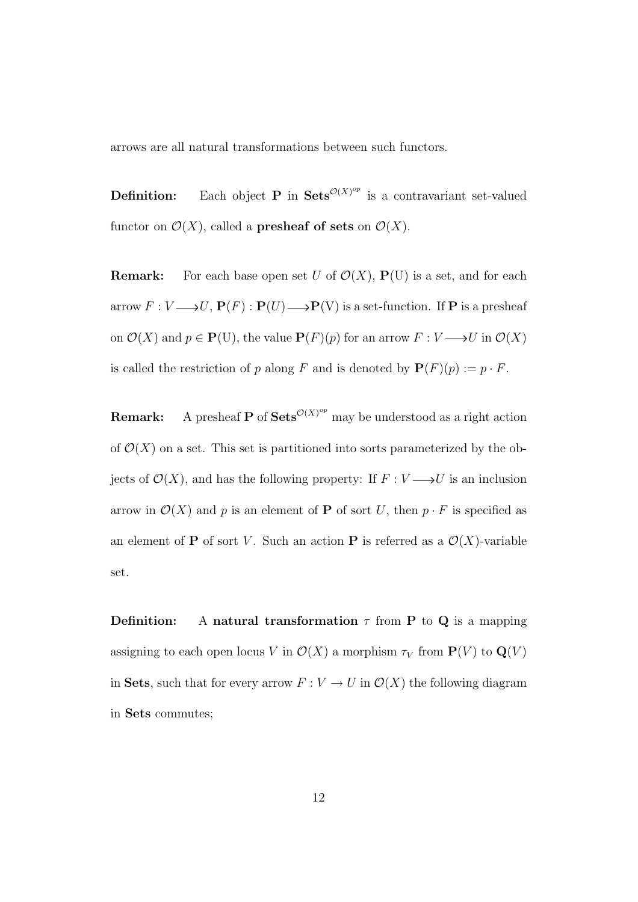arrows are all natural transformations between such functors.

**Definition:** Each object **P** in  $\textbf{Sets}^{\mathcal{O}(X)^{op}}$  is a contravariant set-valued functor on  $\mathcal{O}(X)$ , called a **presheaf of sets** on  $\mathcal{O}(X)$ .

**Remark:** For each base open set U of  $\mathcal{O}(X)$ ,  $P(U)$  is a set, and for each arrow  $F: V \longrightarrow U$ ,  $\mathbf{P}(F): \mathbf{P}(U) \longrightarrow \mathbf{P}(V)$  is a set-function. If P is a presheaf on  $\mathcal{O}(X)$  and  $p \in \mathbf{P}(U)$ , the value  $\mathbf{P}(F)(p)$  for an arrow  $F: V \longrightarrow U$  in  $\mathcal{O}(X)$ is called the restriction of p along F and is denoted by  $\mathbf{P}(F)(p) := p \cdot F$ .

**Remark:** A presheaf **P** of  $\textbf{Sets}^{\mathcal{O}(X)^{op}}$  may be understood as a right action of  $\mathcal{O}(X)$  on a set. This set is partitioned into sorts parameterized by the objects of  $\mathcal{O}(X)$ , and has the following property: If  $F: V \longrightarrow U$  is an inclusion arrow in  $\mathcal{O}(X)$  and p is an element of **P** of sort U, then  $p \cdot F$  is specified as an element of **P** of sort V. Such an action **P** is referred as a  $\mathcal{O}(X)$ -variable set.

**Definition:** A natural transformation  $\tau$  from **P** to **Q** is a mapping assigning to each open locus V in  $\mathcal{O}(X)$  a morphism  $\tau_V$  from  $\mathbf{P}(V)$  to  $\mathbf{Q}(V)$ in Sets, such that for every arrow  $F: V \to U$  in  $\mathcal{O}(X)$  the following diagram in Sets commutes;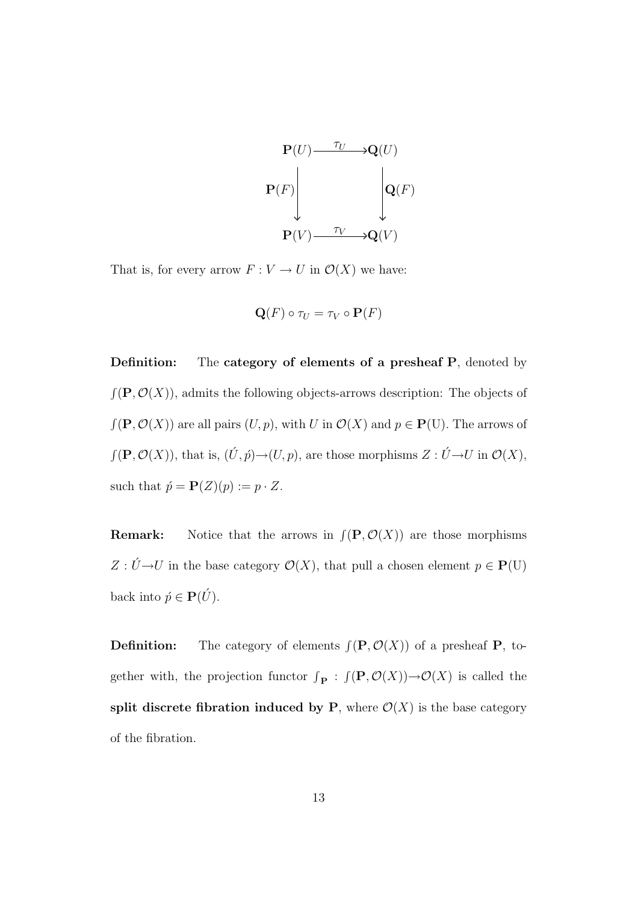

That is, for every arrow  $F:V\rightarrow U$  in  $\mathcal{O}(X)$  we have:

$$
\mathbf{Q}(F) \circ \tau_U = \tau_V \circ \mathbf{P}(F)
$$

Definition: The category of elements of a presheaf P, denoted by  $f(\mathbf{P}, \mathcal{O}(X))$ , admits the following objects-arrows description: The objects of  $f(\mathbf{P}, \mathcal{O}(X))$  are all pairs  $(U, p)$ , with U in  $\mathcal{O}(X)$  and  $p \in \mathbf{P}(U)$ . The arrows of  $f(\mathbf{P}, \mathcal{O}(X))$ , that is,  $(\tilde{U}, \tilde{p}) \rightarrow (U, p)$ , are those morphisms  $Z : \tilde{U} \rightarrow U$  in  $\mathcal{O}(X)$ , such that  $\acute{p} = \mathbf{P}(Z)(p) := p \cdot Z$ .

**Remark:** Notice that the arrows in  $\int (P, \mathcal{O}(X))$  are those morphisms  $Z$  :  $\acute{U} {\rightarrow} U$  in the base category  $\mathcal{O}(X),$  that pull a chosen element  $p \in \mathbf{P}(\mathbf{U})$ back into  $\acute{p}\in \mathbf{P}(\acute{U}).$ 

**Definition:** The category of elements  $\int (\mathbf{P}, \mathcal{O}(X))$  of a presheaf **P**, together with, the projection functor  $\int_{\mathbf{P}} : f(\mathbf{P}, \mathcal{O}(X)) \to \mathcal{O}(X)$  is called the split discrete fibration induced by P, where  $\mathcal{O}(X)$  is the base category of the fibration.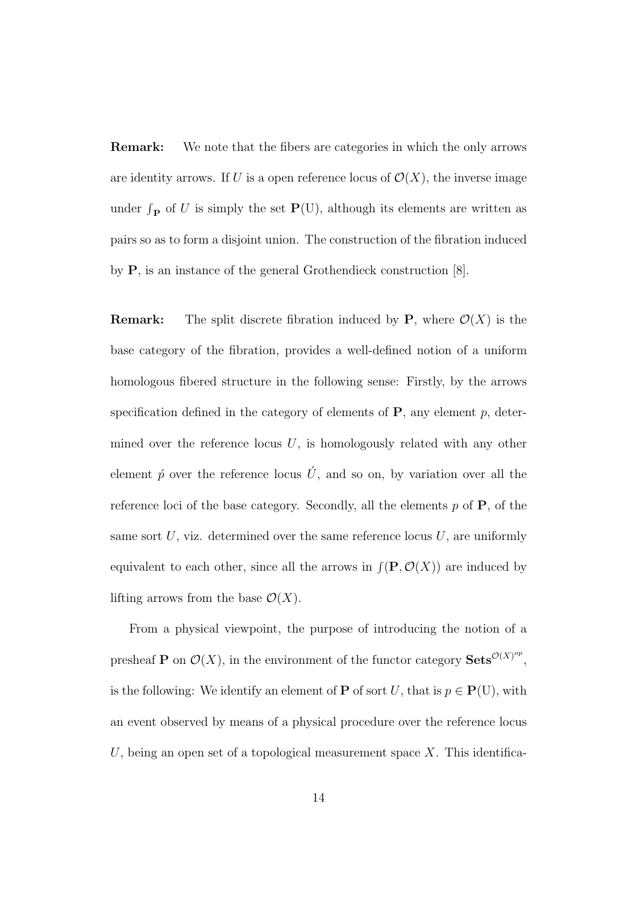Remark: We note that the fibers are categories in which the only arrows are identity arrows. If U is a open reference locus of  $\mathcal{O}(X)$ , the inverse image under  $\int_{\mathbf{P}}$  of U is simply the set  $\mathbf{P}(U)$ , although its elements are written as pairs so as to form a disjoint union. The construction of the fibration induced by P, is an instance of the general Grothendieck construction [8].

**Remark:** The split discrete fibration induced by **P**, where  $\mathcal{O}(X)$  is the base category of the fibration, provides a well-defined notion of a uniform homologous fibered structure in the following sense: Firstly, by the arrows specification defined in the category of elements of  $P$ , any element  $p$ , determined over the reference locus  $U$ , is homologously related with any other element  $\acute{p}$  over the reference locus  $\acute{U}$ , and so on, by variation over all the reference loci of the base category. Secondly, all the elements  $p$  of  $P$ , of the same sort  $U$ , viz. determined over the same reference locus  $U$ , are uniformly equivalent to each other, since all the arrows in  $\int (P, \mathcal{O}(X))$  are induced by lifting arrows from the base  $\mathcal{O}(X)$ .

From a physical viewpoint, the purpose of introducing the notion of a presheaf **P** on  $\mathcal{O}(X)$ , in the environment of the functor category **Sets**  $\mathcal{O}(X)^{op}$ , is the following: We identify an element of **P** of sort U, that is  $p \in \mathbf{P}(U)$ , with an event observed by means of a physical procedure over the reference locus U, being an open set of a topological measurement space  $X$ . This identifica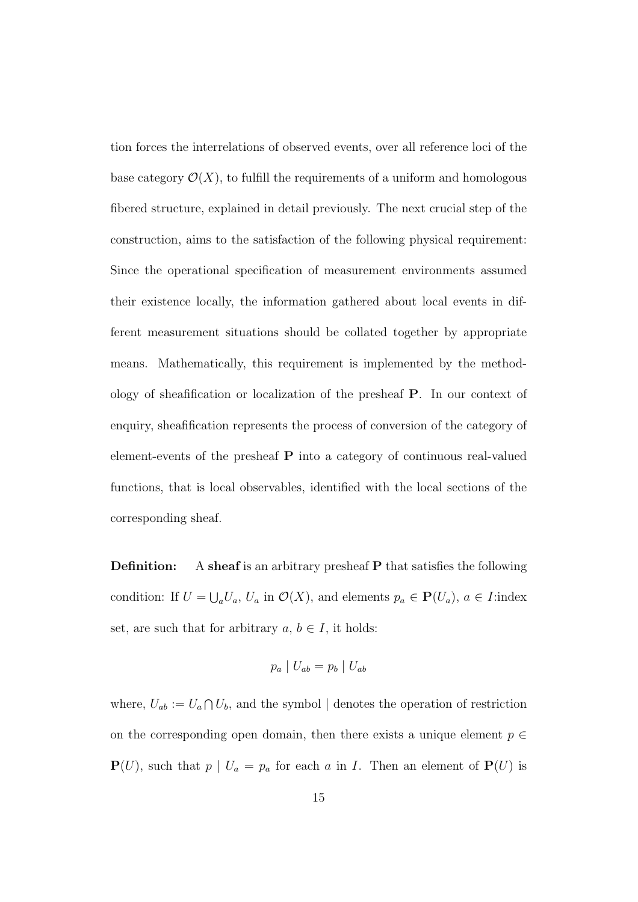tion forces the interrelations of observed events, over all reference loci of the base category  $\mathcal{O}(X)$ , to fulfill the requirements of a uniform and homologous fibered structure, explained in detail previously. The next crucial step of the construction, aims to the satisfaction of the following physical requirement: Since the operational specification of measurement environments assumed their existence locally, the information gathered about local events in different measurement situations should be collated together by appropriate means. Mathematically, this requirement is implemented by the methodology of sheafification or localization of the presheaf P. In our context of enquiry, sheafification represents the process of conversion of the category of element-events of the presheaf P into a category of continuous real-valued functions, that is local observables, identified with the local sections of the corresponding sheaf.

**Definition:** A sheaf is an arbitrary presheaf P that satisfies the following condition: If  $U = \bigcup_a U_a$ ,  $U_a$  in  $\mathcal{O}(X)$ , and elements  $p_a \in \mathbf{P}(U_a)$ ,  $a \in I$ :index set, are such that for arbitrary  $a, b \in I$ , it holds:

$$
p_a \mid U_{ab} = p_b \mid U_{ab}
$$

where,  $U_{ab} := U_a \cap U_b$ , and the symbol | denotes the operation of restriction on the corresponding open domain, then there exists a unique element  $p \in$  $P(U)$ , such that  $p | U_a = p_a$  for each a in I. Then an element of  $P(U)$  is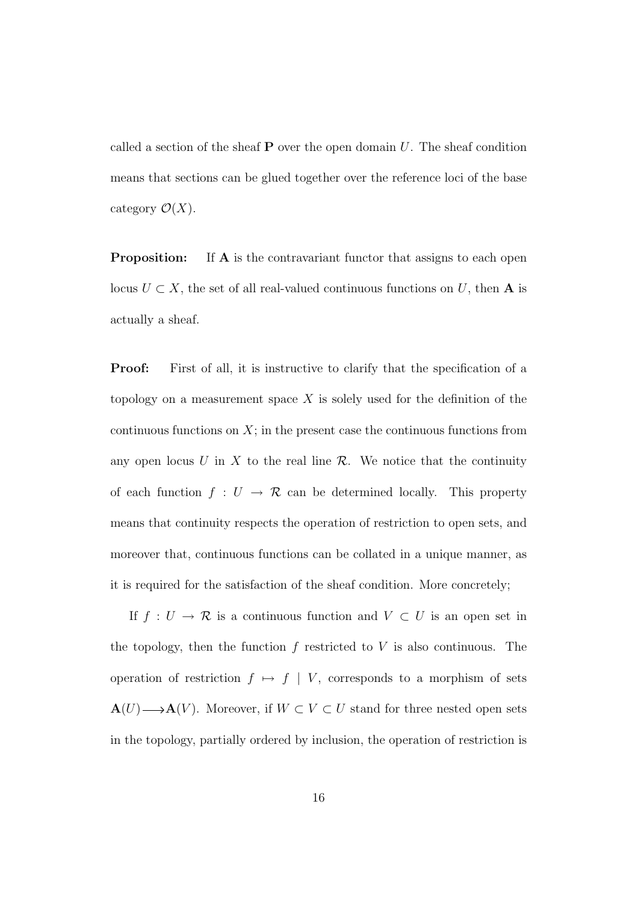called a section of the sheaf  $P$  over the open domain U. The sheaf condition means that sections can be glued together over the reference loci of the base category  $\mathcal{O}(X)$ .

**Proposition:** If **A** is the contravariant functor that assigns to each open locus  $U \subset X$ , the set of all real-valued continuous functions on U, then **A** is actually a sheaf.

**Proof:** First of all, it is instructive to clarify that the specification of a topology on a measurement space  $X$  is solely used for the definition of the continuous functions on  $X$ ; in the present case the continuous functions from any open locus U in X to the real line  $\mathcal{R}$ . We notice that the continuity of each function  $f: U \to \mathcal{R}$  can be determined locally. This property means that continuity respects the operation of restriction to open sets, and moreover that, continuous functions can be collated in a unique manner, as it is required for the satisfaction of the sheaf condition. More concretely;

If  $f: U \to \mathcal{R}$  is a continuous function and  $V \subset U$  is an open set in the topology, then the function  $f$  restricted to  $V$  is also continuous. The operation of restriction  $f \mapsto f \mid V$ , corresponds to a morphism of sets  $\mathbf{A}(U) \longrightarrow \mathbf{A}(V)$ . Moreover, if  $W \subset V \subset U$  stand for three nested open sets in the topology, partially ordered by inclusion, the operation of restriction is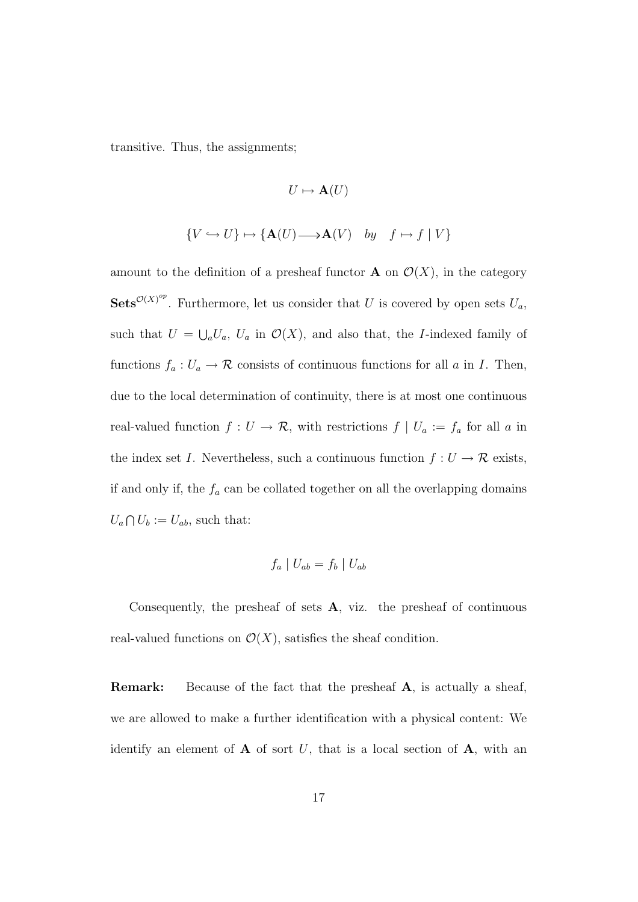transitive. Thus, the assignments;

$$
U \mapsto \mathbf{A}(U)
$$
  

$$
\{V \hookrightarrow U\} \mapsto \{\mathbf{A}(U) \longrightarrow \mathbf{A}(V) \quad by \quad f \mapsto f \mid V\}
$$

amount to the definition of a presheaf functor **A** on  $\mathcal{O}(X)$ , in the category **Sets**<sup> $\mathcal{O}(X)^{op}$ . Furthermore, let us consider that U is covered by open sets  $U_a$ ,</sup> such that  $U = \bigcup_a U_a$ ,  $U_a$  in  $\mathcal{O}(X)$ , and also that, the *I*-indexed family of functions  $f_a: U_a \to \mathcal{R}$  consists of continuous functions for all a in I. Then, due to the local determination of continuity, there is at most one continuous real-valued function  $f: U \to \mathcal{R}$ , with restrictions  $f | U_a := f_a$  for all a in the index set I. Nevertheless, such a continuous function  $f: U \to \mathcal{R}$  exists, if and only if, the  $f_a$  can be collated together on all the overlapping domains  $U_a \bigcap U_b := U_{ab}$ , such that:

$$
f_a \mid U_{ab} = f_b \mid U_{ab}
$$

Consequently, the presheaf of sets  $A$ , viz. the presheaf of continuous real-valued functions on  $\mathcal{O}(X)$ , satisfies the sheaf condition.

**Remark:** Because of the fact that the presheaf A, is actually a sheaf, we are allowed to make a further identification with a physical content: We identify an element of  $A$  of sort U, that is a local section of  $A$ , with an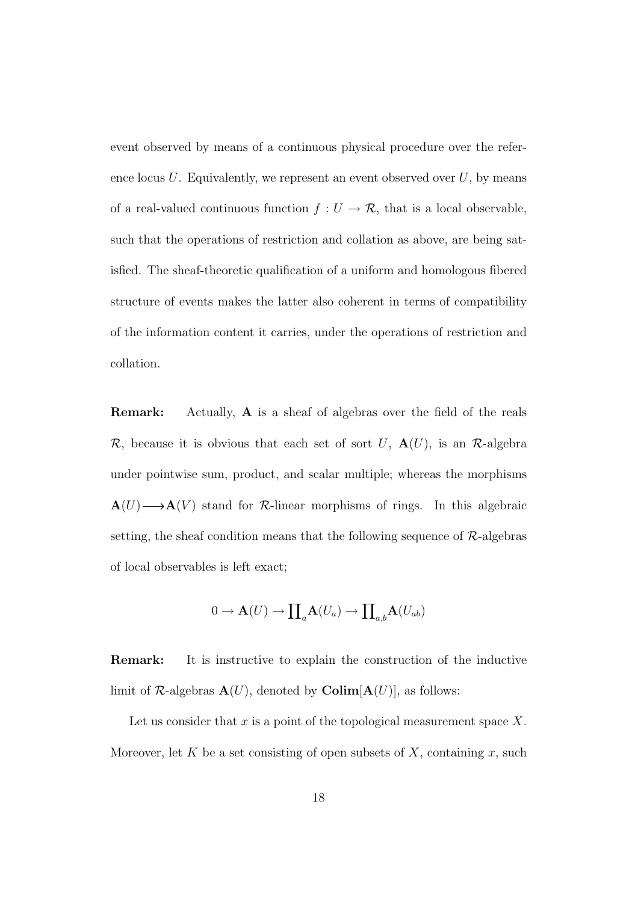event observed by means of a continuous physical procedure over the reference locus  $U$ . Equivalently, we represent an event observed over  $U$ , by means of a real-valued continuous function  $f: U \to \mathcal{R}$ , that is a local observable, such that the operations of restriction and collation as above, are being satisfied. The sheaf-theoretic qualification of a uniform and homologous fibered structure of events makes the latter also coherent in terms of compatibility of the information content it carries, under the operations of restriction and collation.

Remark: Actually, A is a sheaf of algebras over the field of the reals  $\mathcal{R}$ , because it is obvious that each set of sort U,  $\mathbf{A}(U)$ , is an  $\mathcal{R}$ -algebra under pointwise sum, product, and scalar multiple; whereas the morphisms  $\mathbf{A}(U) \longrightarrow \mathbf{A}(V)$  stand for R-linear morphisms of rings. In this algebraic setting, the sheaf condition means that the following sequence of  $\mathcal{R}$ -algebras of local observables is left exact;

$$
0 \to \mathbf{A}(U) \to \prod_a \mathbf{A}(U_a) \to \prod_{a,b} \mathbf{A}(U_{ab})
$$

Remark: It is instructive to explain the construction of the inductive limit of R-algebras  $\mathbf{A}(U)$ , denoted by  $\mathbf{Colim}[\mathbf{A}(U)]$ , as follows:

Let us consider that  $x$  is a point of the topological measurement space  $X$ . Moreover, let K be a set consisting of open subsets of X, containing x, such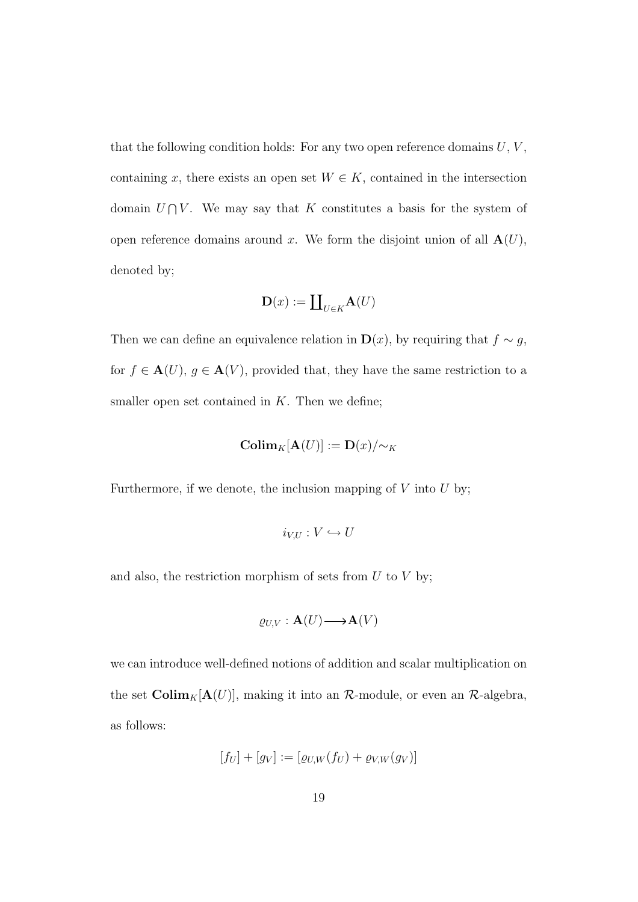that the following condition holds: For any two open reference domains  $U, V,$ containing x, there exists an open set  $W \in K$ , contained in the intersection domain  $U \cap V$ . We may say that K constitutes a basis for the system of open reference domains around x. We form the disjoint union of all  $\mathbf{A}(U)$ , denoted by;

$$
\mathbf{D}(x) := \coprod_{U \in K} \mathbf{A}(U)
$$

Then we can define an equivalence relation in  $\mathbf{D}(x)$ , by requiring that  $f \sim g$ , for  $f \in \mathbf{A}(U)$ ,  $g \in \mathbf{A}(V)$ , provided that, they have the same restriction to a smaller open set contained in  $K$ . Then we define;

$$
\mathbf{Colim}_{K}[\mathbf{A}(U)] := \mathbf{D}(x)/\!\!\sim_{K}
$$

Furthermore, if we denote, the inclusion mapping of  $V$  into  $U$  by;

$$
i_{V,U}: V \hookrightarrow U
$$

and also, the restriction morphism of sets from  $U$  to  $V$  by;

$$
\varrho_{U,V}: \mathbf{A}(U) \longrightarrow \mathbf{A}(V)
$$

we can introduce well-defined notions of addition and scalar multiplication on the set  $\text{Colim}_K[\mathbf{A}(U)]$ , making it into an  $\mathcal{R}\text{-module}$ , or even an  $\mathcal{R}\text{-algebra}$ , as follows:

$$
[f_U] + [g_V] := [\varrho_{U,W}(f_U) + \varrho_{V,W}(g_V)]
$$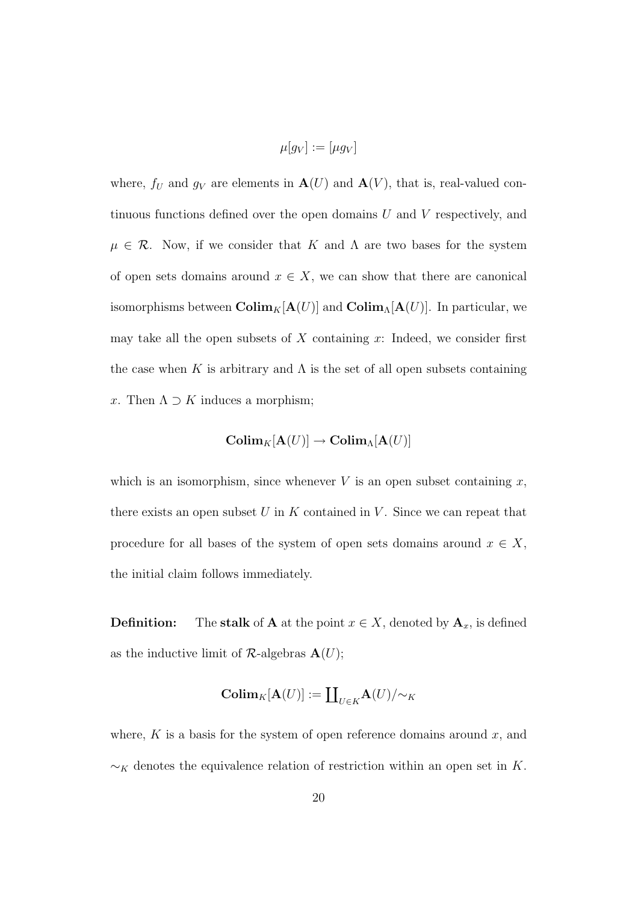$$
\mu[g_V] := [\mu g_V]
$$

where,  $f_U$  and  $g_V$  are elements in  $\mathbf{A}(U)$  and  $\mathbf{A}(V)$ , that is, real-valued continuous functions defined over the open domains  $U$  and  $V$  respectively, and  $\mu \in \mathcal{R}$ . Now, if we consider that K and A are two bases for the system of open sets domains around  $x \in X$ , we can show that there are canonical isomorphisms between  $\text{Colim}_K[\mathbf{A}(U)]$  and  $\text{Colim}_{\Lambda}[\mathbf{A}(U)]$ . In particular, we may take all the open subsets of  $X$  containing  $x$ : Indeed, we consider first the case when K is arbitrary and  $\Lambda$  is the set of all open subsets containing x. Then  $\Lambda \supset K$  induces a morphism;

$$
\mathbf{Colim}_{K}[\mathbf{A}(U)] \to \mathbf{Colim}_{\Lambda}[\mathbf{A}(U)]
$$

which is an isomorphism, since whenever  $V$  is an open subset containing  $x$ , there exists an open subset  $U$  in  $K$  contained in  $V$ . Since we can repeat that procedure for all bases of the system of open sets domains around  $x \in X$ , the initial claim follows immediately.

**Definition:** The stalk of **A** at the point  $x \in X$ , denoted by  $A_x$ , is defined as the inductive limit of  $\mathcal{R}\text{-algebras }\mathbf{A}(U);$ 

$$
\mathbf{Colim}_{K}[\mathbf{A}(U)]:=\coprod_{U\in K}\mathbf{A}(U)/{\sim}_{K}
$$

where,  $K$  is a basis for the system of open reference domains around  $x$ , and  $\sim_K$  denotes the equivalence relation of restriction within an open set in K.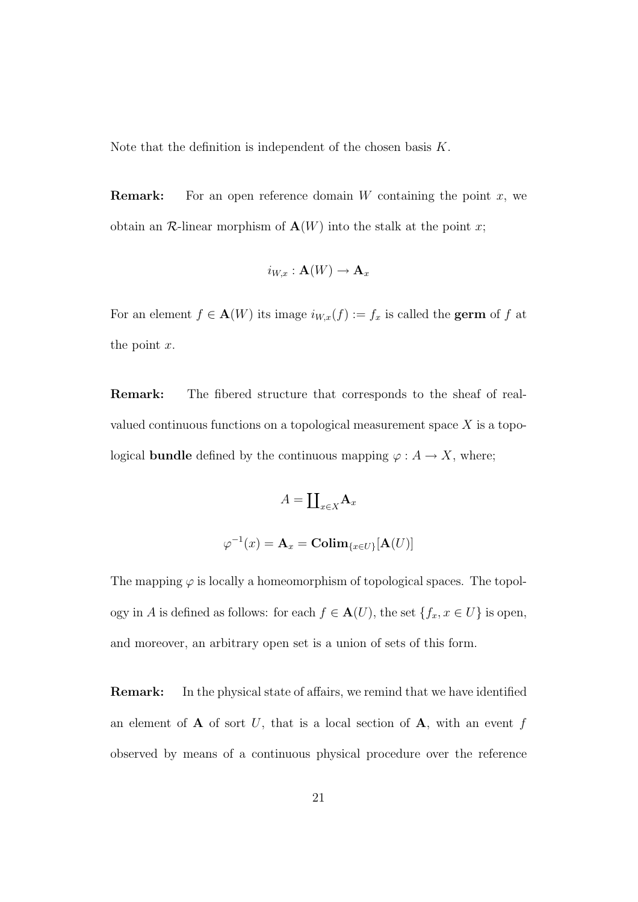Note that the definition is independent of the chosen basis  $K$ .

**Remark:** For an open reference domain W containing the point  $x$ , we obtain an  $\mathcal{R}$ -linear morphism of  $\mathbf{A}(W)$  into the stalk at the point x;

$$
i_{W,x}: \mathbf{A}(W) \to \mathbf{A}_x
$$

For an element  $f \in \mathbf{A}(W)$  its image  $i_{W,x}(f) := f_x$  is called the **germ** of f at the point  $x$ .

Remark: The fibered structure that corresponds to the sheaf of realvalued continuous functions on a topological measurement space  $X$  is a topological **bundle** defined by the continuous mapping  $\varphi : A \to X$ , where;

$$
A=\coprod\nolimits_{x\in X}\mathbf{A}_{x}
$$

$$
\varphi^{-1}(x) = \mathbf{A}_x = \mathbf{Colim}_{\{x \in U\}}[\mathbf{A}(U)]
$$

The mapping  $\varphi$  is locally a homeomorphism of topological spaces. The topology in A is defined as follows: for each  $f \in \mathbf{A}(U)$ , the set  $\{f_x, x \in U\}$  is open, and moreover, an arbitrary open set is a union of sets of this form.

Remark: In the physical state of affairs, we remind that we have identified an element of  $A$  of sort U, that is a local section of  $A$ , with an event f observed by means of a continuous physical procedure over the reference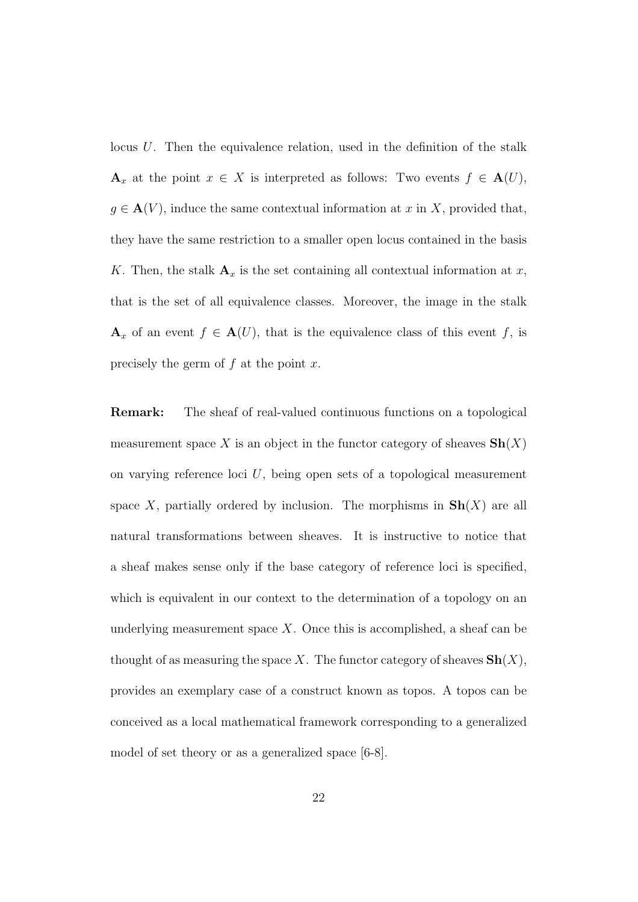locus  $U$ . Then the equivalence relation, used in the definition of the stalk  $\mathbf{A}_x$  at the point  $x \in X$  is interpreted as follows: Two events  $f \in \mathbf{A}(U)$ ,  $g \in \mathbf{A}(V)$ , induce the same contextual information at x in X, provided that, they have the same restriction to a smaller open locus contained in the basis K. Then, the stalk  $\mathbf{A}_x$  is the set containing all contextual information at x, that is the set of all equivalence classes. Moreover, the image in the stalk  $\mathbf{A}_x$  of an event  $f \in \mathbf{A}(U)$ , that is the equivalence class of this event f, is precisely the germ of  $f$  at the point  $x$ .

Remark: The sheaf of real-valued continuous functions on a topological measurement space X is an object in the functor category of sheaves  $\mathbf{Sh}(X)$ on varying reference loci  $U$ , being open sets of a topological measurement space X, partially ordered by inclusion. The morphisms in  $\mathbf{Sh}(X)$  are all natural transformations between sheaves. It is instructive to notice that a sheaf makes sense only if the base category of reference loci is specified, which is equivalent in our context to the determination of a topology on an underlying measurement space  $X$ . Once this is accomplished, a sheaf can be thought of as measuring the space X. The functor category of sheaves  $\mathbf{Sh}(X)$ , provides an exemplary case of a construct known as topos. A topos can be conceived as a local mathematical framework corresponding to a generalized model of set theory or as a generalized space [6-8].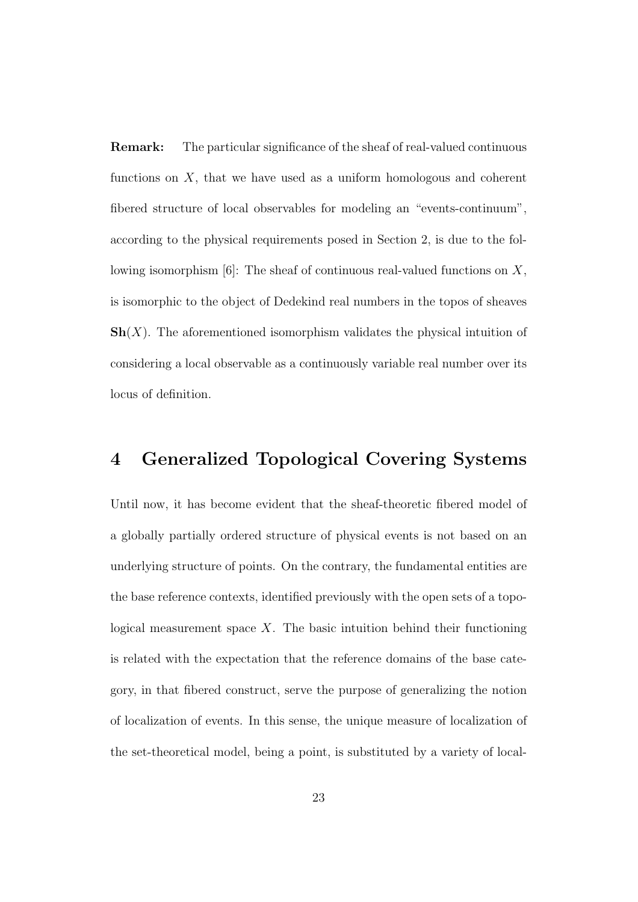Remark: The particular significance of the sheaf of real-valued continuous functions on  $X$ , that we have used as a uniform homologous and coherent fibered structure of local observables for modeling an "events-continuum", according to the physical requirements posed in Section 2, is due to the following isomorphism  $[6]$ : The sheaf of continuous real-valued functions on  $X$ , is isomorphic to the object of Dedekind real numbers in the topos of sheaves  $\mathbf{Sh}(X)$ . The aforementioned isomorphism validates the physical intuition of considering a local observable as a continuously variable real number over its locus of definition.

#### 4 Generalized Topological Covering Systems

Until now, it has become evident that the sheaf-theoretic fibered model of a globally partially ordered structure of physical events is not based on an underlying structure of points. On the contrary, the fundamental entities are the base reference contexts, identified previously with the open sets of a topological measurement space  $X$ . The basic intuition behind their functioning is related with the expectation that the reference domains of the base category, in that fibered construct, serve the purpose of generalizing the notion of localization of events. In this sense, the unique measure of localization of the set-theoretical model, being a point, is substituted by a variety of local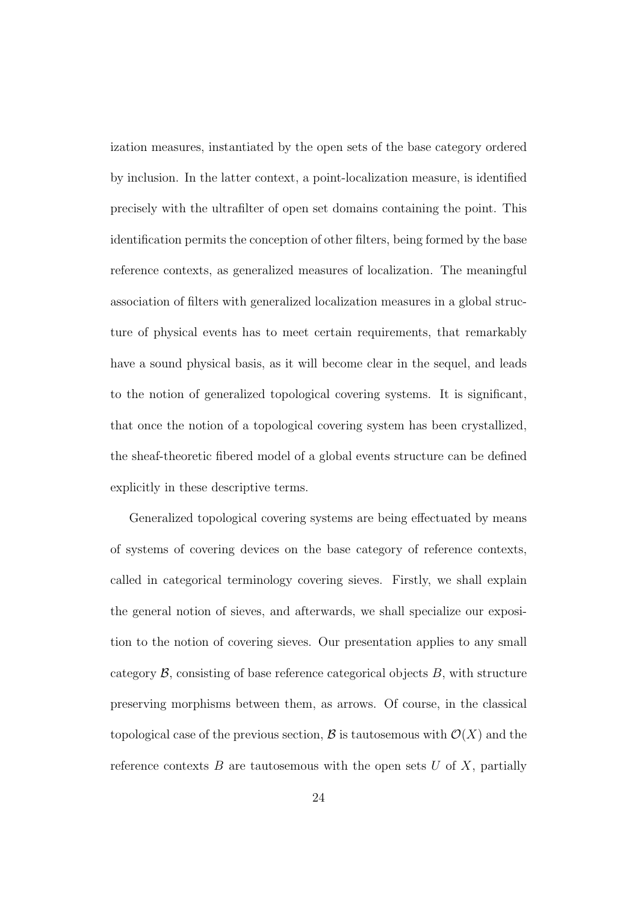ization measures, instantiated by the open sets of the base category ordered by inclusion. In the latter context, a point-localization measure, is identified precisely with the ultrafilter of open set domains containing the point. This identification permits the conception of other filters, being formed by the base reference contexts, as generalized measures of localization. The meaningful association of filters with generalized localization measures in a global structure of physical events has to meet certain requirements, that remarkably have a sound physical basis, as it will become clear in the sequel, and leads to the notion of generalized topological covering systems. It is significant, that once the notion of a topological covering system has been crystallized, the sheaf-theoretic fibered model of a global events structure can be defined explicitly in these descriptive terms.

Generalized topological covering systems are being effectuated by means of systems of covering devices on the base category of reference contexts, called in categorical terminology covering sieves. Firstly, we shall explain the general notion of sieves, and afterwards, we shall specialize our exposition to the notion of covering sieves. Our presentation applies to any small category  $\mathcal{B}$ , consisting of base reference categorical objects  $B$ , with structure preserving morphisms between them, as arrows. Of course, in the classical topological case of the previous section,  $\mathcal B$  is tautosemous with  $\mathcal O(X)$  and the reference contexts  $B$  are tautosemous with the open sets  $U$  of  $X$ , partially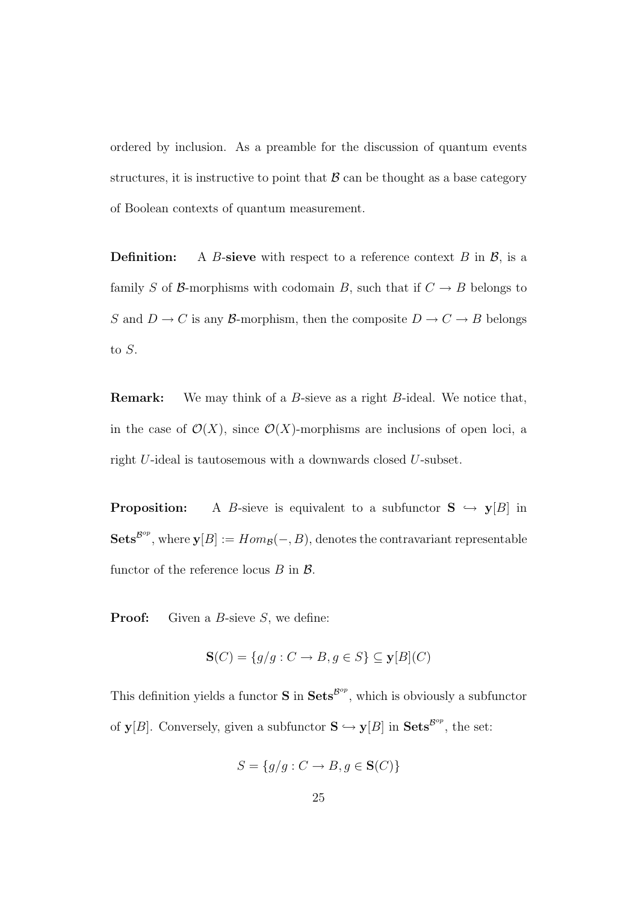ordered by inclusion. As a preamble for the discussion of quantum events structures, it is instructive to point that  $\beta$  can be thought as a base category of Boolean contexts of quantum measurement.

**Definition:** A B-sieve with respect to a reference context B in  $\mathcal{B}$ , is a family S of B-morphisms with codomain B, such that if  $C \rightarrow B$  belongs to  $S$  and  $D\to C$  is any  ${\mathcal{B}}\text{-morphism},$  then the composite  $D\to C\to B$  belongs to S.

**Remark:** We may think of a B-sieve as a right B-ideal. We notice that, in the case of  $\mathcal{O}(X)$ , since  $\mathcal{O}(X)$ -morphisms are inclusions of open loci, a right U-ideal is tautosemous with a downwards closed U-subset.

**Proposition:** A B-sieve is equivalent to a subfunctor  $S \hookrightarrow y[B]$  in  $\textbf{Sets}^{\textbf{B}^{op}}, \text{ where } \textbf{y}[B] := Hom_{\mathcal{B}}(-, B), \text{ denotes the contravariant representable}$ functor of the reference locus  $B$  in  $\mathcal{B}$ .

**Proof:** Given a B-sieve  $S$ , we define:

$$
\mathbf{S}(C) = \{ g/g : C \to B, g \in S \} \subseteq \mathbf{y}[B](C)
$$

This definition yields a functor **S** in  $\textbf{Sets}^{\mathcal{B}^{op}}$ , which is obviously a subfunctor of  $y[B]$ . Conversely, given a subfunctor  $S \hookrightarrow y[B]$  in  $Sets^{\mathcal{B}^{op}}$ , the set:

$$
S = \{g/g : C \to B, g \in \mathbf{S}(C)\}\
$$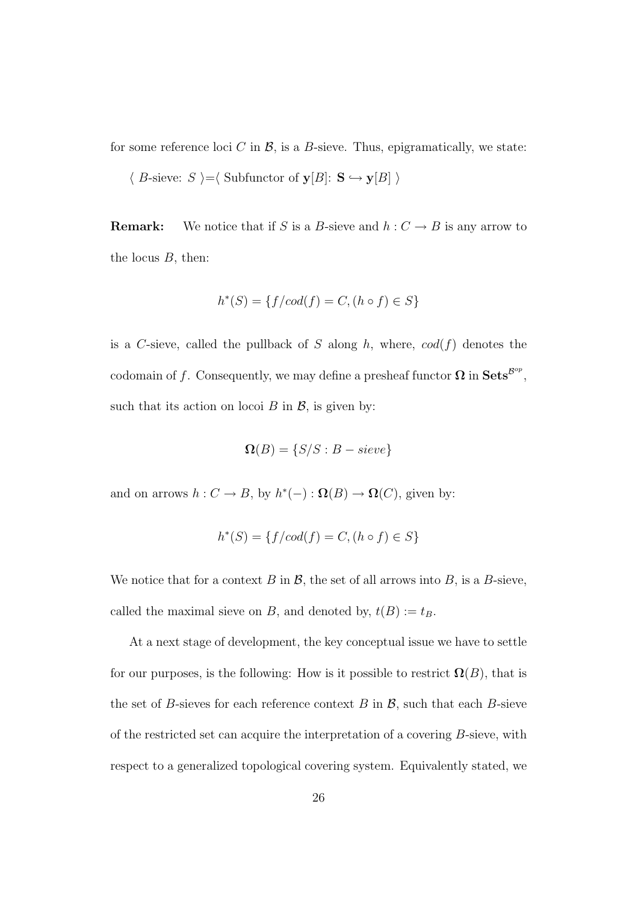for some reference loci C in  $\mathcal{B}$ , is a B-sieve. Thus, epigramatically, we state:

$$
\langle B\text{-sieve: } S \rangle = \langle \text{Subfunctor of } \mathbf{y}[B]: \mathbf{S} \hookrightarrow \mathbf{y}[B] \rangle
$$

**Remark:** We notice that if S is a B-sieve and  $h: C \to B$  is any arrow to the locus  $B$ , then:

$$
h^*(S) = \{ f/cod(f) = C, (h \circ f) \in S \}
$$

is a C-sieve, called the pullback of S along h, where,  $cod(f)$  denotes the codomain of f. Consequently, we may define a presheaf functor  $\Omega$  in  $\textbf{Sets}^{\mathcal{B}^{op}}$ , such that its action on locoi  $B$  in  $\mathcal{B}$ , is given by:

$$
\mathbf{\Omega}(B) = \{S/S : B - sieve\}
$$

and on arrows  $h: C \to B$ , by  $h^*(-): \Omega(B) \to \Omega(C)$ , given by:

$$
h^*(S) = \{ f/cod(f) = C, (h \circ f) \in S \}
$$

We notice that for a context B in  $\mathcal{B}$ , the set of all arrows into B, is a B-sieve, called the maximal sieve on B, and denoted by,  $t(B) := t_B$ .

At a next stage of development, the key conceptual issue we have to settle for our purposes, is the following: How is it possible to restrict  $\Omega(B)$ , that is the set of B-sieves for each reference context  $B$  in  $\mathcal{B}$ , such that each B-sieve of the restricted set can acquire the interpretation of a covering B-sieve, with respect to a generalized topological covering system. Equivalently stated, we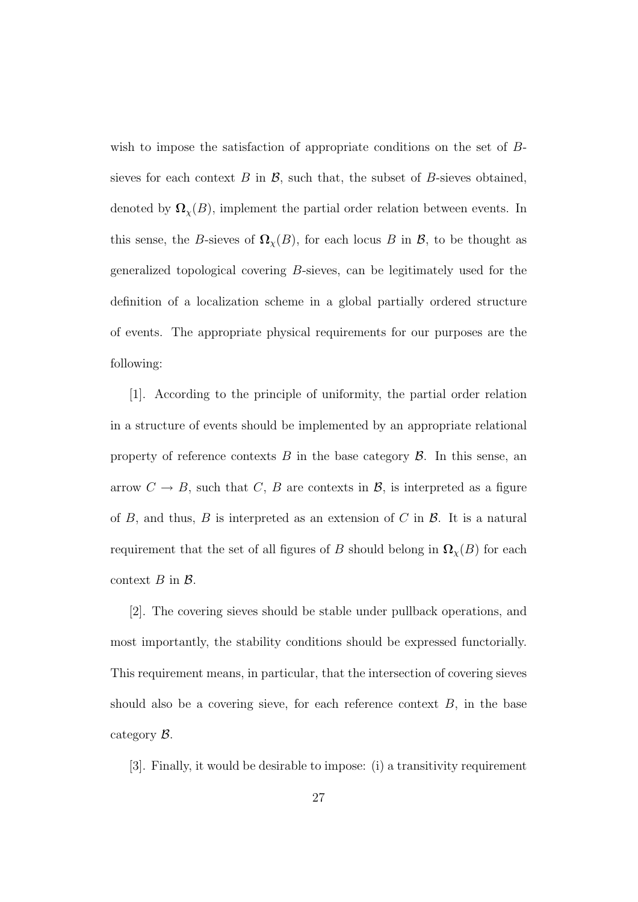wish to impose the satisfaction of appropriate conditions on the set of Bsieves for each context  $B$  in  $\mathcal{B}$ , such that, the subset of  $B$ -sieves obtained, denoted by  $\Omega_{\chi}(B)$ , implement the partial order relation between events. In this sense, the B-sieves of  $\Omega_{\chi}(B)$ , for each locus B in B, to be thought as generalized topological covering B-sieves, can be legitimately used for the definition of a localization scheme in a global partially ordered structure of events. The appropriate physical requirements for our purposes are the following:

[1]. According to the principle of uniformity, the partial order relation in a structure of events should be implemented by an appropriate relational property of reference contexts  $B$  in the base category  $\mathcal B$ . In this sense, an arrow  $C \rightarrow B$ , such that C, B are contexts in B, is interpreted as a figure of  $B$ , and thus,  $B$  is interpreted as an extension of  $C$  in  $B$ . It is a natural requirement that the set of all figures of B should belong in  $\Omega_{\chi}(B)$  for each context  $B$  in  $\mathcal{B}$ .

[2]. The covering sieves should be stable under pullback operations, and most importantly, the stability conditions should be expressed functorially. This requirement means, in particular, that the intersection of covering sieves should also be a covering sieve, for each reference context  $B$ , in the base category B.

[3]. Finally, it would be desirable to impose: (i) a transitivity requirement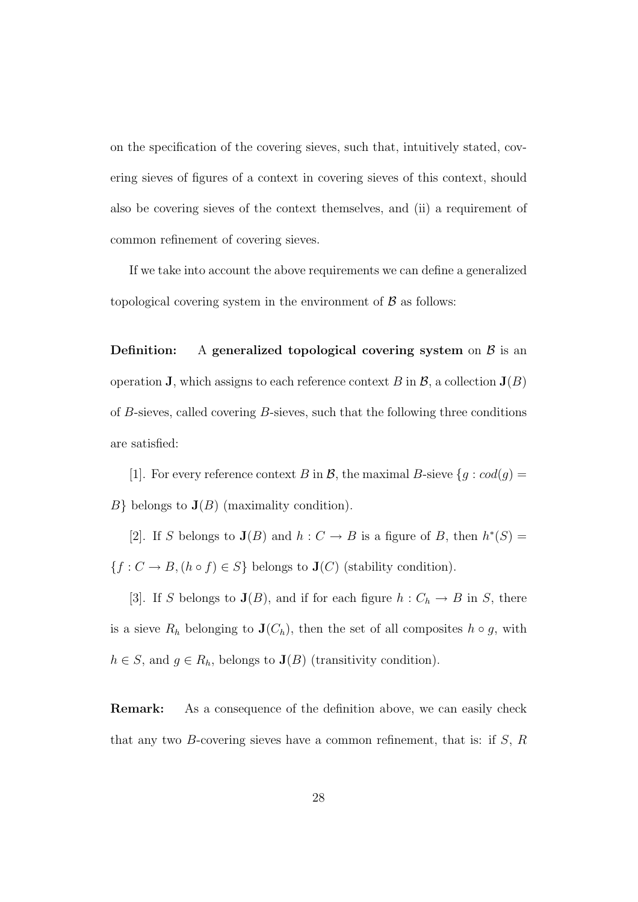on the specification of the covering sieves, such that, intuitively stated, covering sieves of figures of a context in covering sieves of this context, should also be covering sieves of the context themselves, and (ii) a requirement of common refinement of covering sieves.

If we take into account the above requirements we can define a generalized topological covering system in the environment of  $\beta$  as follows:

**Definition:** A generalized topological covering system on  $\beta$  is an operation **J**, which assigns to each reference context B in  $\mathcal{B}$ , a collection  $J(B)$ of B-sieves, called covering B-sieves, such that the following three conditions are satisfied:

[1]. For every reference context B in B, the maximal B-sieve  $\{g : cod(g) = \emptyset\}$  $B\}$  belongs to  $J(B)$  (maximality condition).

[2]. If S belongs to  $J(B)$  and  $h: C \to B$  is a figure of B, then  $h^*(S) =$  $\{f: C \rightarrow B, (h \circ f) \in S\}$  belongs to  $\mathbf{J}(C)$  (stability condition).

[3]. If S belongs to  $J(B)$ , and if for each figure  $h: C_h \to B$  in S, there is a sieve  $R_h$  belonging to  $\mathbf{J}(C_h)$ , then the set of all composites  $h \circ g$ , with  $h \in S$ , and  $g \in R_h$ , belongs to  $\mathbf{J}(B)$  (transitivity condition).

Remark: As a consequence of the definition above, we can easily check that any two  $B$ -covering sieves have a common refinement, that is: if  $S$ ,  $R$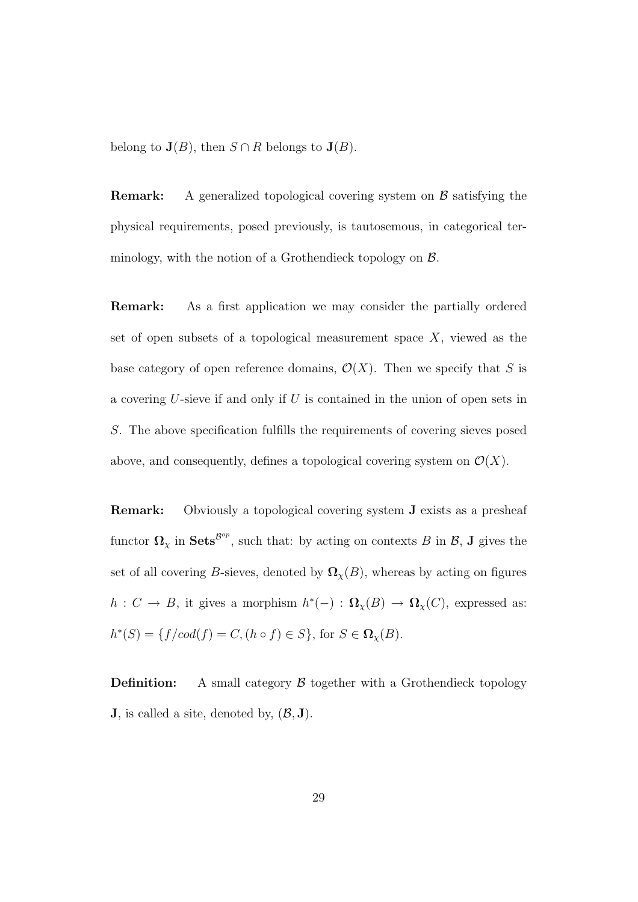belong to  $J(B)$ , then  $S \cap R$  belongs to  $J(B)$ .

**Remark:** A generalized topological covering system on  $\beta$  satisfying the physical requirements, posed previously, is tautosemous, in categorical terminology, with the notion of a Grothendieck topology on B.

Remark: As a first application we may consider the partially ordered set of open subsets of a topological measurement space  $X$ , viewed as the base category of open reference domains,  $\mathcal{O}(X)$ . Then we specify that S is a covering  $U$ -sieve if and only if  $U$  is contained in the union of open sets in S. The above specification fulfills the requirements of covering sieves posed above, and consequently, defines a topological covering system on  $\mathcal{O}(X)$ .

Remark: Obviously a topological covering system J exists as a presheaf functor  $\Omega_\chi$  in Sets<sup>Bop</sup>, such that: by acting on contexts B in B, J gives the set of all covering B-sieves, denoted by  $\Omega_{\chi}(B)$ , whereas by acting on figures  $h: C \to B$ , it gives a morphism  $h^*(-): \Omega_\chi(B) \to \Omega_\chi(C)$ , expressed as:  $h^*(S) = \{ f/cod(f) = C, (h \circ f) \in S \}, \text{ for } S \in \Omega_\chi(B).$ 

**Definition:** A small category  $\beta$  together with a Grothendieck topology **J**, is called a site, denoted by,  $(\mathcal{B}, \mathbf{J})$ .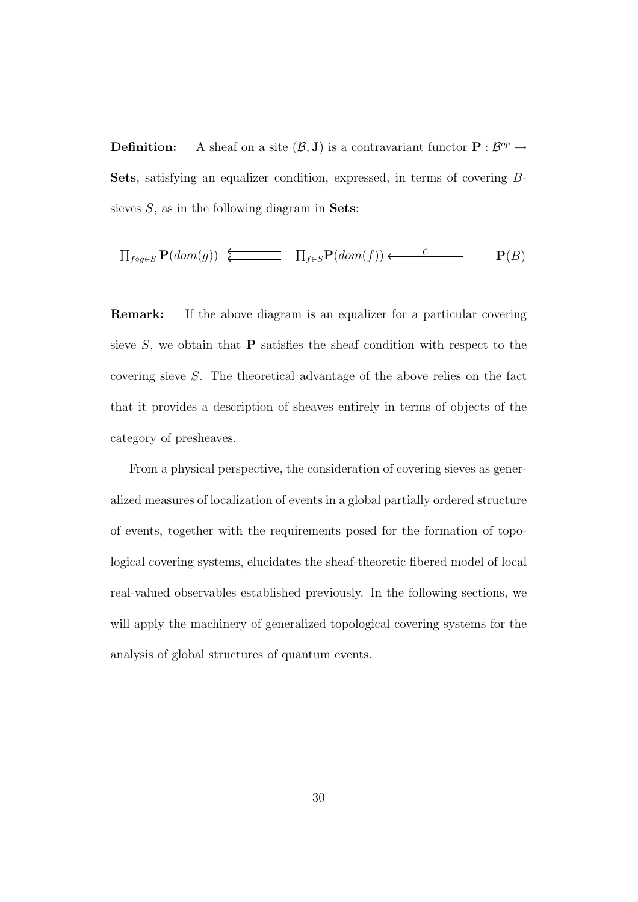**Definition:** A sheaf on a site  $(\mathcal{B}, J)$  is a contravariant functor  $P : \mathcal{B}^{op} \to$ Sets, satisfying an equalizer condition, expressed, in terms of covering Bsieves  $S$ , as in the following diagram in **Sets**:

$$
\prod_{f \circ g \in S} \mathbf{P}(dom(g)) \xleftarrow{\longleftarrow} \prod_{f \in S} \mathbf{P}(dom(f)) \xleftarrow{e} \mathbf{P}(B)
$$

Remark: If the above diagram is an equalizer for a particular covering sieve  $S$ , we obtain that **P** satisfies the sheaf condition with respect to the covering sieve S. The theoretical advantage of the above relies on the fact that it provides a description of sheaves entirely in terms of objects of the category of presheaves.

From a physical perspective, the consideration of covering sieves as generalized measures of localization of events in a global partially ordered structure of events, together with the requirements posed for the formation of topological covering systems, elucidates the sheaf-theoretic fibered model of local real-valued observables established previously. In the following sections, we will apply the machinery of generalized topological covering systems for the analysis of global structures of quantum events.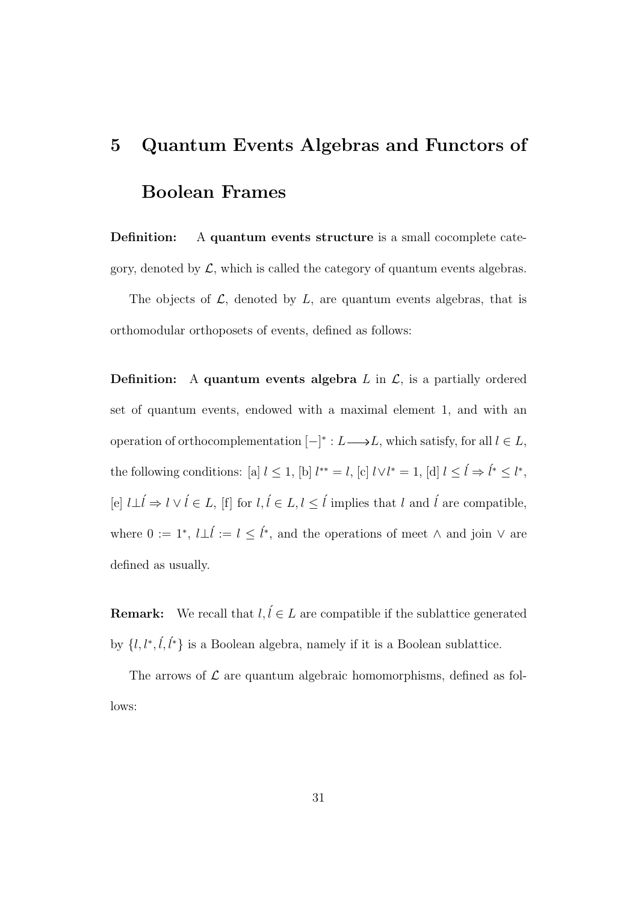### 5 Quantum Events Algebras and Functors of Boolean Frames

**Definition:** A quantum events structure is a small cocomplete category, denoted by  $\mathcal{L}$ , which is called the category of quantum events algebras.

The objects of  $\mathcal{L}$ , denoted by  $L$ , are quantum events algebras, that is orthomodular orthoposets of events, defined as follows:

**Definition:** A quantum events algebra  $L$  in  $\mathcal{L}$ , is a partially ordered set of quantum events, endowed with a maximal element 1, and with an operation of orthocomplementation  $[-]^* : L \longrightarrow L$ , which satisfy, for all  $l \in L$ , the following conditions: [a]  $l \leq 1$ , [b]  $l^{**} = l$ , [c]  $l \vee l^* = 1$ , [d]  $l \leq \hat{l} \Rightarrow \hat{l}^* \leq l^*$ , [e]  $l\bot \hat{l}$  ⇒  $l \vee \hat{l} \in L$ , [f] for  $l, \hat{l} \in L, l \leq \hat{l}$  implies that  $l$  and  $\hat{l}$  are compatible, where  $0 := 1^*, l\bot \hat{l} := l \leq \hat{l}^*,$  and the operations of meet  $\wedge$  and join  $\vee$  are defined as usually.

**Remark:** We recall that  $l, l \in L$  are compatible if the sublattice generated by  $\{l, l^*, \ell, \ell^*\}$  is a Boolean algebra, namely if it is a Boolean sublattice.

The arrows of  $\mathcal L$  are quantum algebraic homomorphisms, defined as follows: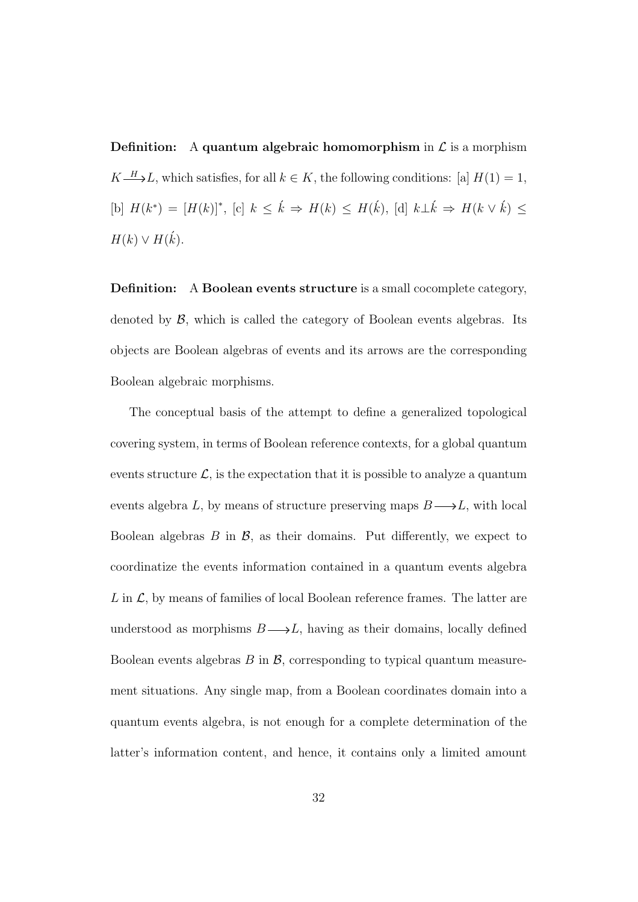**Definition:** A quantum algebraic homomorphism in  $\mathcal{L}$  is a morphism  $K \longrightarrow L$ , which satisfies, for all  $k \in K$ , the following conditions: [a]  $H(1) = 1$ ,  $[\text{b}] H(k^*) = [H(k)]^*, [\text{c}] k \leq \hat{k} \Rightarrow H(k) \leq H(\hat{k}), [\text{d}] k \perp \hat{k} \Rightarrow H(k \vee \hat{k}) \leq$  $H(k) \vee H(\vec{k}).$ 

Definition: A Boolean events structure is a small cocomplete category, denoted by  $\beta$ , which is called the category of Boolean events algebras. Its objects are Boolean algebras of events and its arrows are the corresponding Boolean algebraic morphisms.

The conceptual basis of the attempt to define a generalized topological covering system, in terms of Boolean reference contexts, for a global quantum events structure  $\mathcal{L}$ , is the expectation that it is possible to analyze a quantum events algebra L, by means of structure preserving maps  $B \longrightarrow L$ , with local Boolean algebras  $B$  in  $\mathcal{B}$ , as their domains. Put differently, we expect to coordinatize the events information contained in a quantum events algebra  $L$  in  $\mathcal{L}$ , by means of families of local Boolean reference frames. The latter are understood as morphisms  $B \longrightarrow L$ , having as their domains, locally defined Boolean events algebras  $B$  in  $\mathcal{B}$ , corresponding to typical quantum measurement situations. Any single map, from a Boolean coordinates domain into a quantum events algebra, is not enough for a complete determination of the latter's information content, and hence, it contains only a limited amount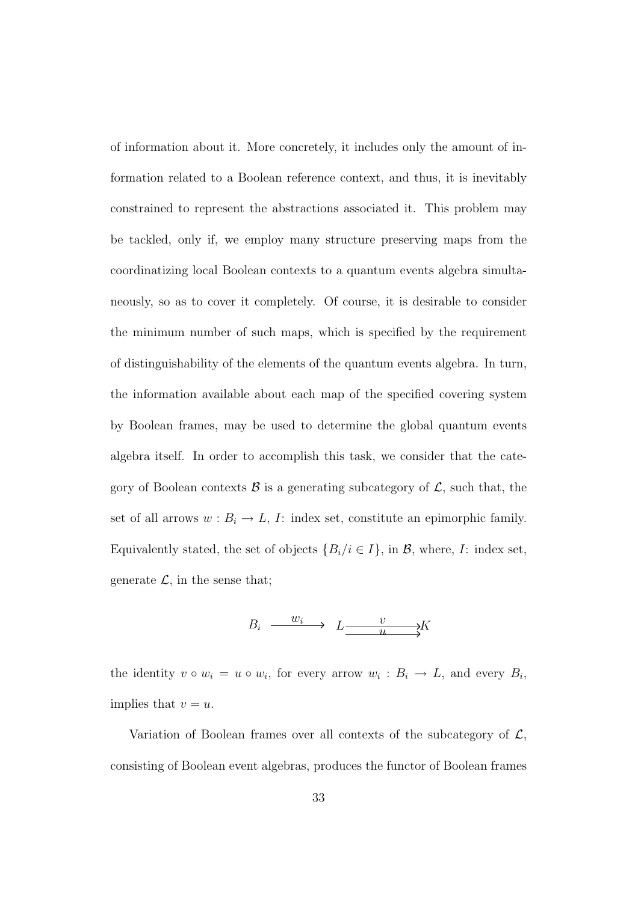of information about it. More concretely, it includes only the amount of information related to a Boolean reference context, and thus, it is inevitably constrained to represent the abstractions associated it. This problem may be tackled, only if, we employ many structure preserving maps from the coordinatizing local Boolean contexts to a quantum events algebra simultaneously, so as to cover it completely. Of course, it is desirable to consider the minimum number of such maps, which is specified by the requirement of distinguishability of the elements of the quantum events algebra. In turn, the information available about each map of the specified covering system by Boolean frames, may be used to determine the global quantum events algebra itself. In order to accomplish this task, we consider that the category of Boolean contexts  $\beta$  is a generating subcategory of  $\mathcal{L}$ , such that, the set of all arrows  $w : B_i \to L$ , I: index set, constitute an epimorphic family. Equivalently stated, the set of objects  $\{B_i/i \in I\}$ , in  $\mathcal{B}$ , where, I: index set, generate  $\mathcal{L}$ , in the sense that;

$$
B_i \xrightarrow{w_i} L \xrightarrow{v} X
$$

the identity  $v \circ w_i = u \circ w_i$ , for every arrow  $w_i : B_i \to L$ , and every  $B_i$ , implies that  $v = u$ .

Variation of Boolean frames over all contexts of the subcategory of  $\mathcal{L}$ , consisting of Boolean event algebras, produces the functor of Boolean frames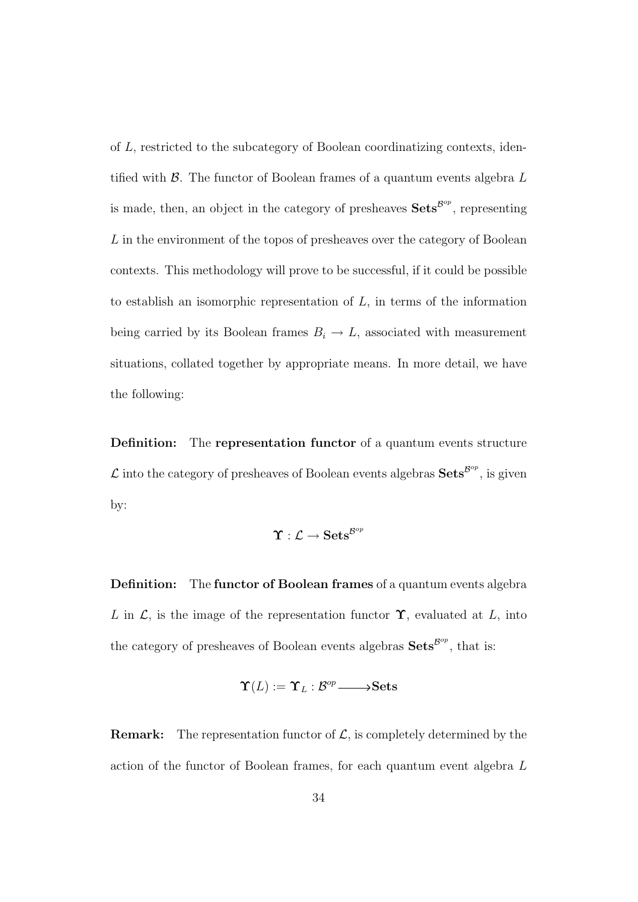of L, restricted to the subcategory of Boolean coordinatizing contexts, identified with  $\beta$ . The functor of Boolean frames of a quantum events algebra  $L$ is made, then, an object in the category of presheaves  $\mathbf{Sets}^{\mathcal{B}^{op}}$ , representing L in the environment of the topos of presheaves over the category of Boolean contexts. This methodology will prove to be successful, if it could be possible to establish an isomorphic representation of  $L$ , in terms of the information being carried by its Boolean frames  $B_i \to L$ , associated with measurement situations, collated together by appropriate means. In more detail, we have the following:

Definition: The representation functor of a quantum events structure  $\mathcal L$  into the category of presheaves of Boolean events algebras  $\mathbf{Sets}^{\mathcal B^{op}},$  is given by:

$$
\Upsilon:\mathcal{L}\rightarrow \mathbf{Sets}^{\mathcal{B}^{op}}
$$

Definition: The functor of Boolean frames of a quantum events algebra L in  $\mathcal{L}$ , is the image of the representation functor  $\Upsilon$ , evaluated at L, into the category of presheaves of Boolean events algebras  $\textbf{Sets}^{\text{Bop}}$ , that is:

$$
\Upsilon(L) := \Upsilon_L : \mathcal{B}^{op} \longrightarrow \mathbf{Sets}
$$

**Remark:** The representation functor of  $\mathcal{L}$ , is completely determined by the action of the functor of Boolean frames, for each quantum event algebra L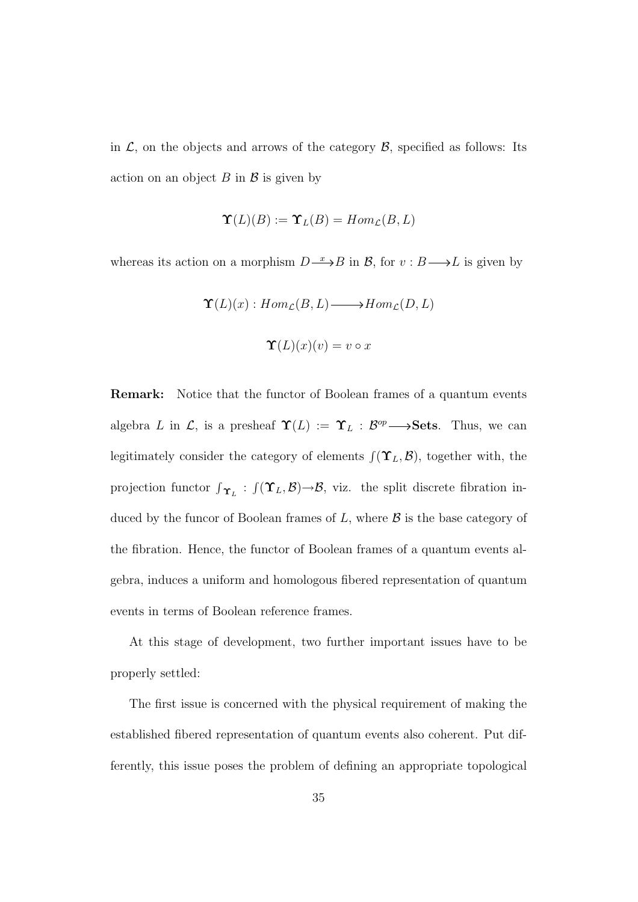in  $\mathcal{L}$ , on the objects and arrows of the category  $\mathcal{B}$ , specified as follows: Its action on an object  $B$  in  $\beta$  is given by

$$
\Upsilon(L)(B) := \Upsilon_L(B) = Hom_{\mathcal{L}}(B, L)
$$

whereas its action on a morphism  $D \longrightarrow B$  in  $\mathcal{B}$ , for  $v : B \longrightarrow L$  is given by

$$
\Upsilon(L)(x) : Hom_{\mathcal{L}}(B, L) \longrightarrow Hom_{\mathcal{L}}(D, L)
$$

$$
\Upsilon(L)(x)(v) = v \circ x
$$

Remark: Notice that the functor of Boolean frames of a quantum events algebra L in L, is a presheaf  $\Upsilon(L) := \Upsilon_L : \mathcal{B}^{op} \longrightarrow \mathbf{Sets}$ . Thus, we can legitimately consider the category of elements  $\int (\Upsilon_L, \mathcal{B})$ , together with, the projection functor  $\int_{\Upsilon_L}$ :  $\int (\Upsilon_L, \mathcal{B}) \rightarrow \mathcal{B}$ , viz. the split discrete fibration induced by the funcor of Boolean frames of  $L$ , where  $\beta$  is the base category of the fibration. Hence, the functor of Boolean frames of a quantum events algebra, induces a uniform and homologous fibered representation of quantum events in terms of Boolean reference frames.

At this stage of development, two further important issues have to be properly settled:

The first issue is concerned with the physical requirement of making the established fibered representation of quantum events also coherent. Put differently, this issue poses the problem of defining an appropriate topological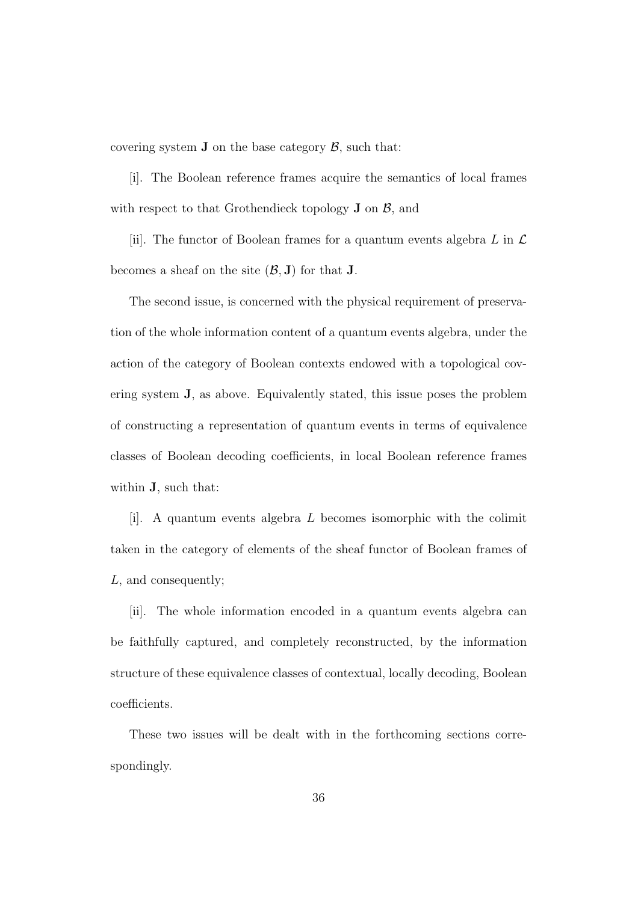covering system **J** on the base category  $\beta$ , such that:

[i]. The Boolean reference frames acquire the semantics of local frames with respect to that Grothendieck topology  $J$  on  $\beta$ , and

[ii]. The functor of Boolean frames for a quantum events algebra  $L$  in  $\mathcal L$ becomes a sheaf on the site  $(\mathcal{B}, \mathbf{J})$  for that **J**.

The second issue, is concerned with the physical requirement of preservation of the whole information content of a quantum events algebra, under the action of the category of Boolean contexts endowed with a topological covering system J, as above. Equivalently stated, this issue poses the problem of constructing a representation of quantum events in terms of equivalence classes of Boolean decoding coefficients, in local Boolean reference frames within J, such that:

[i]. A quantum events algebra L becomes isomorphic with the colimit taken in the category of elements of the sheaf functor of Boolean frames of L, and consequently;

[ii]. The whole information encoded in a quantum events algebra can be faithfully captured, and completely reconstructed, by the information structure of these equivalence classes of contextual, locally decoding, Boolean coefficients.

These two issues will be dealt with in the forthcoming sections correspondingly.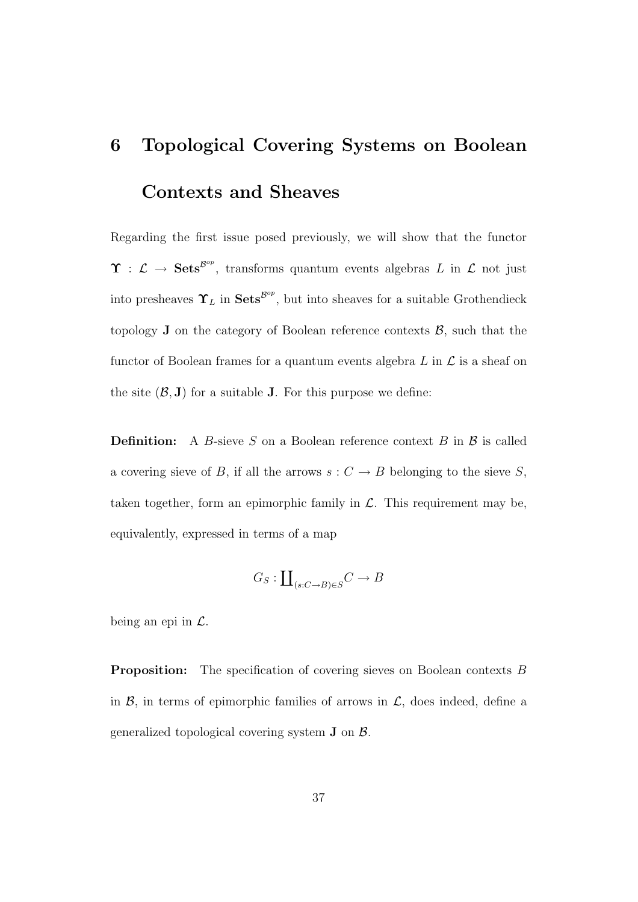## 6 Topological Covering Systems on Boolean Contexts and Sheaves

Regarding the first issue posed previously, we will show that the functor  $\Upsilon : \mathcal{L} \to \mathbf{Sets}^{\mathcal{B}^{op}}$ , transforms quantum events algebras L in L not just into presheaves  $\Upsilon_L$  in  $\textbf{Sets}^{\mathcal{B}^{op}}$ , but into sheaves for a suitable Grothendieck topology  $J$  on the category of Boolean reference contexts  $\beta$ , such that the functor of Boolean frames for a quantum events algebra  $L$  in  $\mathcal L$  is a sheaf on the site  $(\mathcal{B}, J)$  for a suitable J. For this purpose we define:

**Definition:** A B-sieve S on a Boolean reference context B in  $\beta$  is called a covering sieve of B, if all the arrows  $s: C \to B$  belonging to the sieve S, taken together, form an epimorphic family in  $\mathcal{L}$ . This requirement may be, equivalently, expressed in terms of a map

$$
G_S: \coprod_{(s:C \to B) \in S} C \to B
$$

being an epi in  $\mathcal{L}$ .

**Proposition:** The specification of covering sieves on Boolean contexts B in  $\mathcal{B}$ , in terms of epimorphic families of arrows in  $\mathcal{L}$ , does indeed, define a generalized topological covering system  $J$  on  $\beta$ .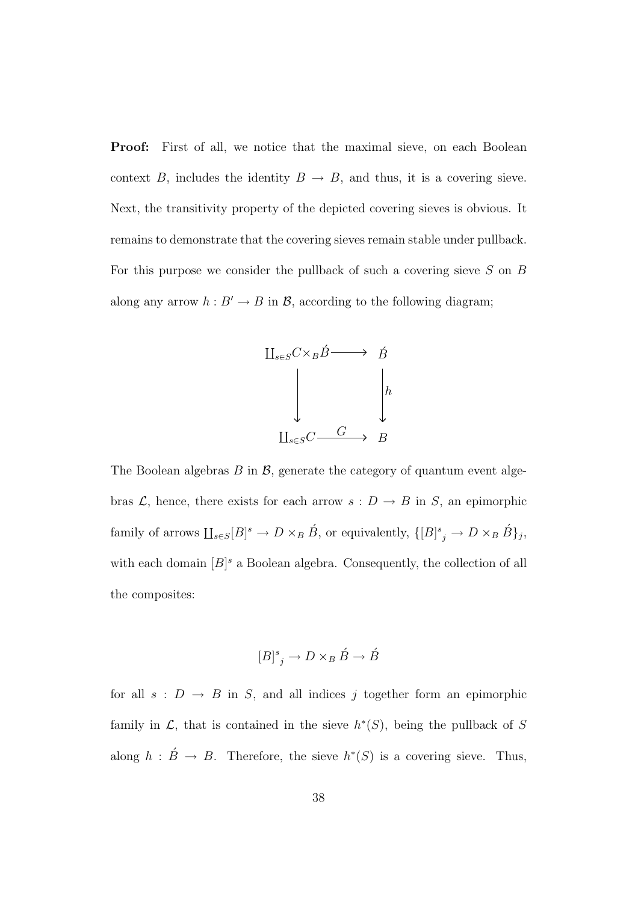**Proof:** First of all, we notice that the maximal sieve, on each Boolean context B, includes the identity  $B \to B$ , and thus, it is a covering sieve. Next, the transitivity property of the depicted covering sieves is obvious. It remains to demonstrate that the covering sieves remain stable under pullback. For this purpose we consider the pullback of such a covering sieve  $S$  on  $B$ along any arrow  $h : B' \to B$  in  $\mathcal{B}$ , according to the following diagram;



The Boolean algebras  $B$  in  $\mathcal{B}$ , generate the category of quantum event algebras  $\mathcal{L}$ , hence, there exists for each arrow  $s: D \to B$  in S, an epimorphic family of arrows  $\coprod_{s\in S}[B]^s \to D\times_B \check{B}$ , or equivalently,  $\{[B]^s_{j} \to D\times_B \check{B}\}_j$ , with each domain  $[B]^s$  a Boolean algebra. Consequently, the collection of all the composites:

$$
[B]^{s}_{j} \to D \times_{B} \acute{B} \to \acute{B}
$$

for all  $s : D \to B$  in S, and all indices j together form an epimorphic family in  $\mathcal{L}$ , that is contained in the sieve  $h^*(S)$ , being the pullback of S along  $h : \acute{B} \rightarrow B$ . Therefore, the sieve  $h^*(S)$  is a covering sieve. Thus,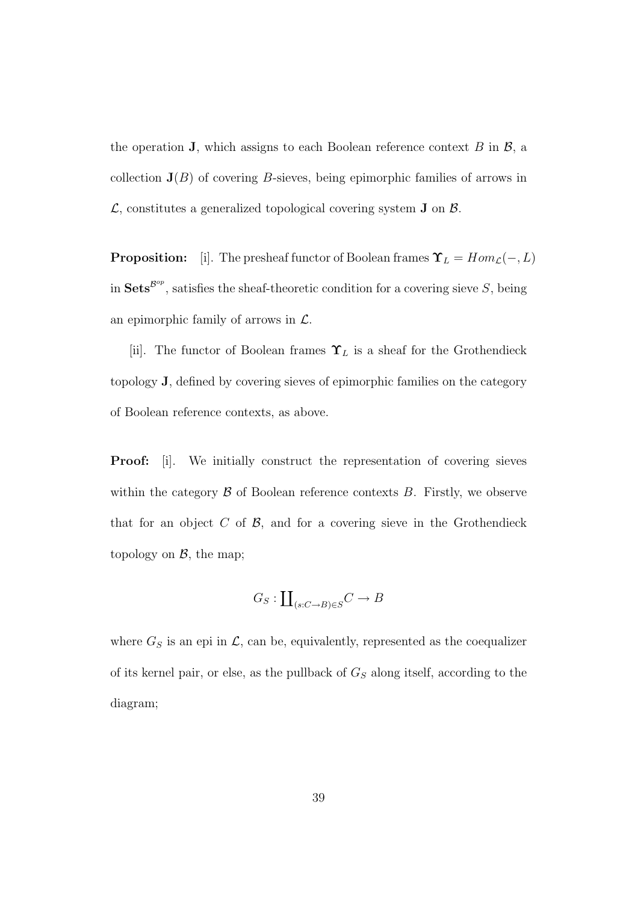the operation **J**, which assigns to each Boolean reference context  $B$  in  $\mathcal{B}$ , a collection  $J(B)$  of covering B-sieves, being epimorphic families of arrows in  $\mathcal{L}$ , constitutes a generalized topological covering system **J** on  $\mathcal{B}$ .

**Proposition:** [i]. The presheaf functor of Boolean frames  $\Upsilon_L = Hom_{\mathcal{L}}(-, L)$ in  $\mathbf{Sets}^{\mathcal{B}^{op}}$ , satisfies the sheaf-theoretic condition for a covering sieve S, being an epimorphic family of arrows in  $\mathcal{L}$ .

[ii]. The functor of Boolean frames  $\Upsilon_L$  is a sheaf for the Grothendieck topology J, defined by covering sieves of epimorphic families on the category of Boolean reference contexts, as above.

**Proof:** [i]. We initially construct the representation of covering sieves within the category  $\beta$  of Boolean reference contexts  $B$ . Firstly, we observe that for an object  $C$  of  $\mathcal{B}$ , and for a covering sieve in the Grothendieck topology on  $\mathcal{B}$ , the map;

$$
G_S: \coprod_{(s:C\to B)\in S} C \to B
$$

where  $G_S$  is an epi in  $\mathcal{L}$ , can be, equivalently, represented as the coequalizer of its kernel pair, or else, as the pullback of  $G<sub>S</sub>$  along itself, according to the diagram;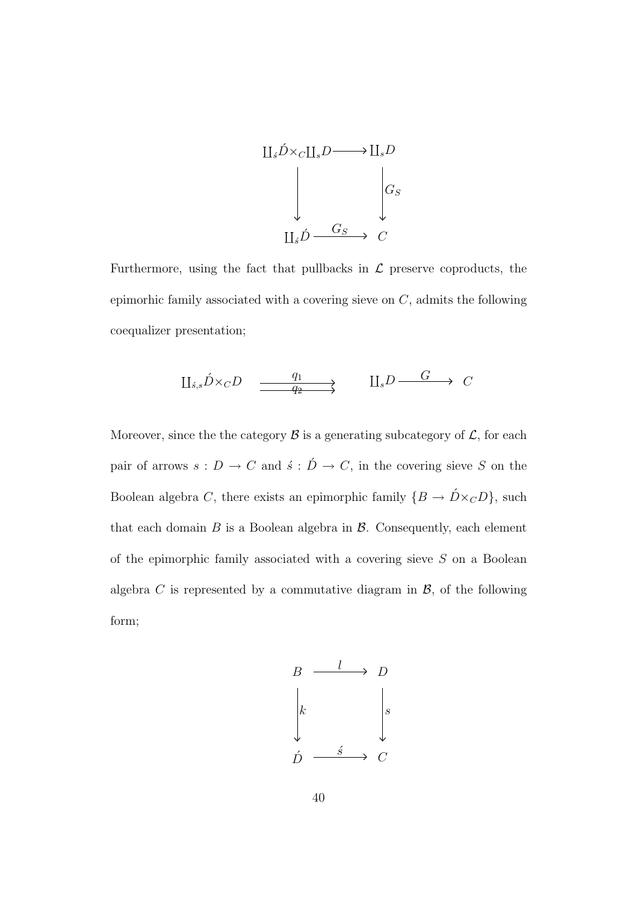

Furthermore, using the fact that pullbacks in  $\mathcal L$  preserve coproducts, the epimorhic family associated with a covering sieve on  $C$ , admits the following coequalizer presentation;

$$
\underline{\Pi}_{s,s}\acute{D}\times_{C}D \xrightarrow{\phantom{a}\underline{q_1}} \underline{\underline{\qquad}} \qquad \underline{\Pi}_sD \xrightarrow{\phantom{a}\underline{G}} C
$$

Moreover, since the the category  $\mathcal B$  is a generating subcategory of  $\mathcal L$ , for each pair of arrows  $s: D \to C$  and  $\acute{s}: \acute{D} \to C$ , in the covering sieve S on the Boolean algebra C, there exists an epimorphic family  $\{B \to D \times_C D\}$ , such that each domain  $B$  is a Boolean algebra in  $\beta$ . Consequently, each element of the epimorphic family associated with a covering sieve  $S$  on a Boolean algebra C is represented by a commutative diagram in  $\mathcal{B}$ , of the following form;

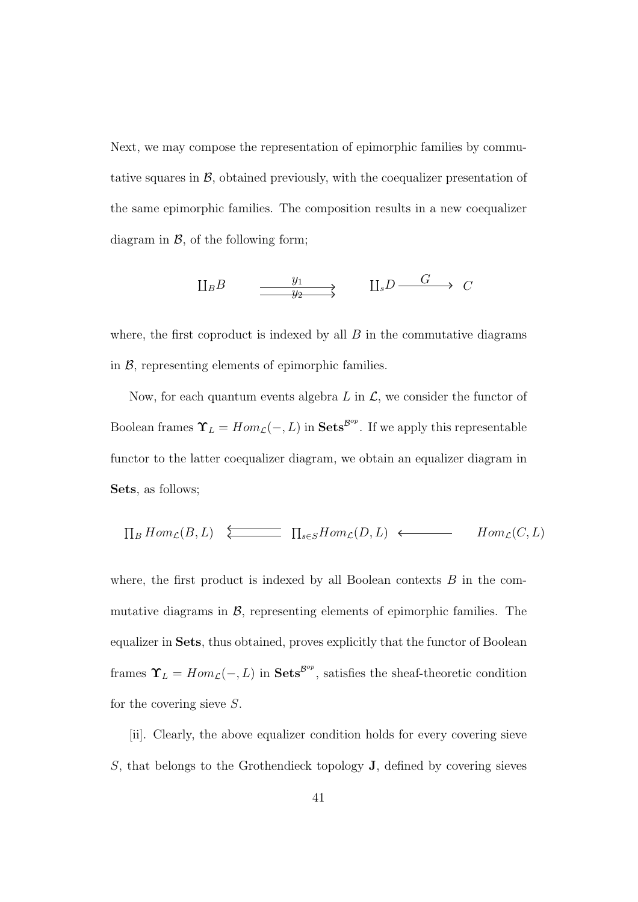Next, we may compose the representation of epimorphic families by commutative squares in  $\mathcal{B}$ , obtained previously, with the coequalizer presentation of the same epimorphic families. The composition results in a new coequalizer diagram in  $\mathcal{B}$ , of the following form;

$$
\downarrow \hspace{-0.1cm} \downarrow B \longrightarrow
$$
  

$$
\xrightarrow{y_1} \qquad \qquad \downarrow \downarrow
$$
  

$$
\downarrow \downarrow
$$
  

$$
\downarrow
$$
  

$$
\downarrow
$$
  

$$
\downarrow
$$
  

$$
\downarrow
$$
  

$$
\downarrow
$$
  

$$
\downarrow
$$
  

$$
\downarrow
$$
  

$$
\downarrow
$$
  

$$
\downarrow
$$
  

$$
\downarrow
$$
  

$$
\downarrow
$$
  

$$
\downarrow
$$
  

$$
\downarrow
$$
  

$$
\downarrow
$$
  

$$
\downarrow
$$
  

$$
\downarrow
$$
  

$$
\downarrow
$$
  

$$
\downarrow
$$
  

$$
\downarrow
$$
  

$$
\downarrow
$$
  

$$
\downarrow
$$
  

$$
\downarrow
$$
  

$$
\downarrow
$$
  

$$
\downarrow
$$
  

$$
\downarrow
$$
  

$$
\downarrow
$$
  

$$
\downarrow
$$
  

$$
\downarrow
$$
  

$$
\downarrow
$$
  

$$
\downarrow
$$
  

$$
\downarrow
$$
  

$$
\downarrow
$$
  

$$
\downarrow
$$
  

$$
\downarrow
$$
  

$$
\downarrow
$$
  

$$
\downarrow
$$
  

$$
\downarrow
$$
  

$$
\downarrow
$$
  

$$
\downarrow
$$
  

$$
\downarrow
$$
  

$$
\downarrow
$$
  

$$
\downarrow
$$
  

$$
\downarrow
$$
  

$$
\downarrow
$$
  

$$
\downarrow
$$
  

$$
\downarrow
$$
  

$$
\downarrow
$$
  

$$
\downarrow
$$
  

$$
\downarrow
$$
  

$$
\downarrow
$$
  

$$
\downarrow
$$
  

$$
\downarrow
$$
  

$$
\downarrow
$$
  

$$
\downarrow
$$
  

$$
\downarrow
$$
  

$$
\downarrow
$$
  

$$
\downarrow
$$
  

$$
\downarrow
$$

where, the first coproduct is indexed by all  $B$  in the commutative diagrams in  $\mathcal{B}$ , representing elements of epimorphic families.

Now, for each quantum events algebra  $L$  in  $\mathcal{L}$ , we consider the functor of Boolean frames  $\Upsilon_L = Hom_{\mathcal{L}}(-, L)$  in  $\mathbf{Sets}^{\mathcal{B}^{op}}$ . If we apply this representable functor to the latter coequalizer diagram, we obtain an equalizer diagram in Sets, as follows;

$$
\prod_B Hom_{\mathcal{L}}(B, L) \xleftarrow{\longleftarrow} \prod_{s \in S} Hom_{\mathcal{L}}(D, L) \longleftarrow Hom_{\mathcal{L}}(C, L)
$$

where, the first product is indexed by all Boolean contexts  $B$  in the commutative diagrams in  $\mathcal{B}$ , representing elements of epimorphic families. The equalizer in Sets, thus obtained, proves explicitly that the functor of Boolean frames  $\Upsilon_L = Hom_{\mathcal{L}}(-, L)$  in  $\mathbf{Sets}^{\mathcal{B}^{op}}$ , satisfies the sheaf-theoretic condition for the covering sieve S.

[ii]. Clearly, the above equalizer condition holds for every covering sieve S, that belongs to the Grothendieck topology J, defined by covering sieves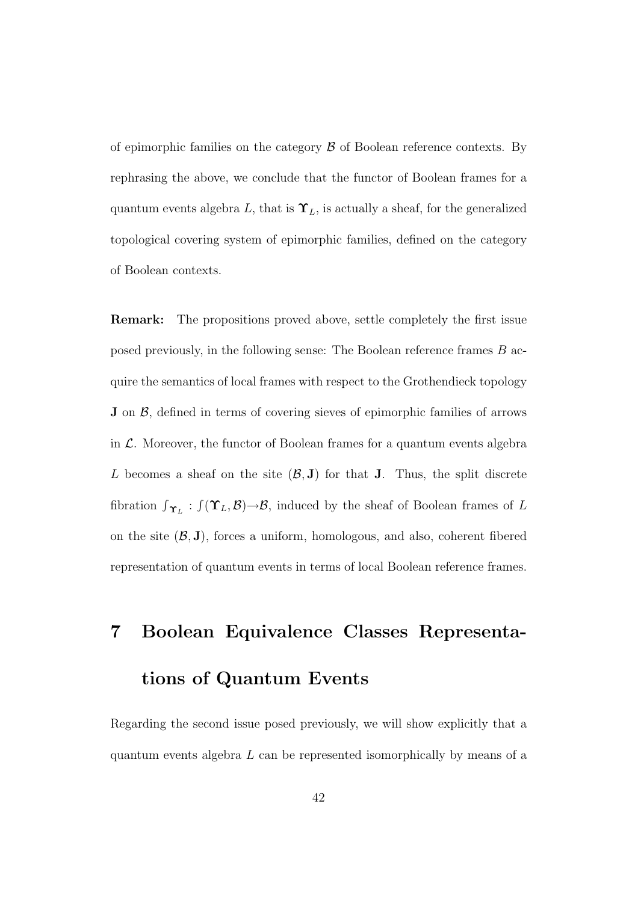of epimorphic families on the category  $\beta$  of Boolean reference contexts. By rephrasing the above, we conclude that the functor of Boolean frames for a quantum events algebra L, that is  $\Upsilon_L$ , is actually a sheaf, for the generalized topological covering system of epimorphic families, defined on the category of Boolean contexts.

Remark: The propositions proved above, settle completely the first issue posed previously, in the following sense: The Boolean reference frames B acquire the semantics of local frames with respect to the Grothendieck topology **J** on  $\beta$ , defined in terms of covering sieves of epimorphic families of arrows in  $\mathcal{L}$ . Moreover, the functor of Boolean frames for a quantum events algebra L becomes a sheaf on the site  $(\mathcal{B}, J)$  for that J. Thus, the split discrete fibration  $\int_{\Upsilon_L}$ :  $\int (\Upsilon_L, \mathcal{B}) \rightarrow \mathcal{B}$ , induced by the sheaf of Boolean frames of L on the site  $(\mathcal{B}, J)$ , forces a uniform, homologous, and also, coherent fibered representation of quantum events in terms of local Boolean reference frames.

# 7 Boolean Equivalence Classes Representations of Quantum Events

Regarding the second issue posed previously, we will show explicitly that a quantum events algebra  $L$  can be represented isomorphically by means of a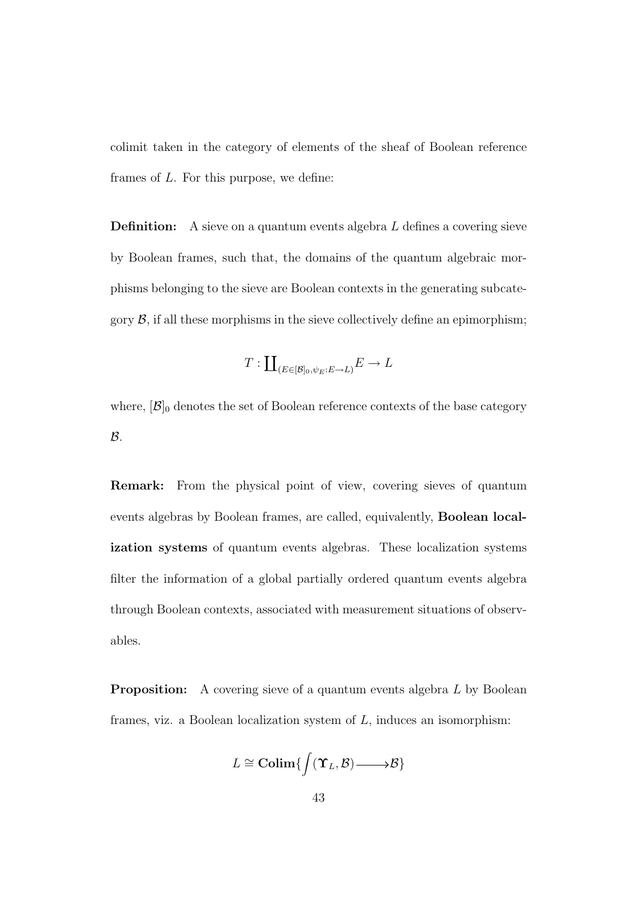colimit taken in the category of elements of the sheaf of Boolean reference frames of L. For this purpose, we define:

**Definition:** A sieve on a quantum events algebra  $L$  defines a covering sieve by Boolean frames, such that, the domains of the quantum algebraic morphisms belonging to the sieve are Boolean contexts in the generating subcategory  $\mathcal{B}$ , if all these morphisms in the sieve collectively define an epimorphism;

$$
T: \coprod_{(E \in [\mathcal{B}]_0, \psi_E : E \to L)} E \to L
$$

where,  $[\mathcal{B}]_0$  denotes the set of Boolean reference contexts of the base category  $\mathcal{B}.$ 

Remark: From the physical point of view, covering sieves of quantum events algebras by Boolean frames, are called, equivalently, Boolean localization systems of quantum events algebras. These localization systems filter the information of a global partially ordered quantum events algebra through Boolean contexts, associated with measurement situations of observables.

**Proposition:** A covering sieve of a quantum events algebra L by Boolean frames, viz. a Boolean localization system of  $L$ , induces an isomorphism:

$$
L \cong \mathbf{Colim}\{\int (\mathbf{\Upsilon}_L,\mathcal{B}) \longrightarrow \mathcal{B}\}
$$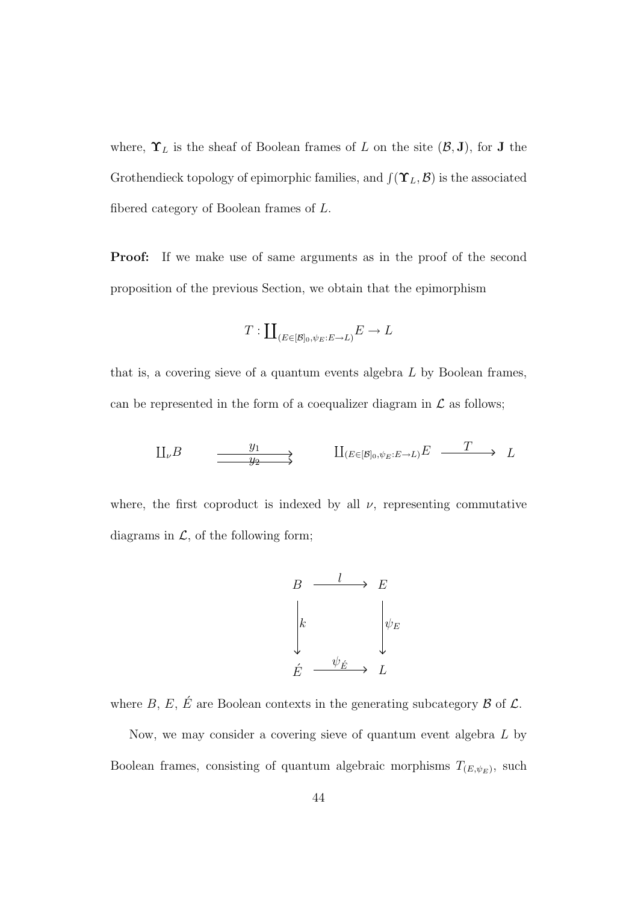where,  $\Upsilon_L$  is the sheaf of Boolean frames of L on the site  $(\mathcal{B}, J)$ , for J the Grothendieck topology of epimorphic families, and  $\int (\Upsilon_L, \mathcal{B})$  is the associated fibered category of Boolean frames of L.

**Proof:** If we make use of same arguments as in the proof of the second proposition of the previous Section, we obtain that the epimorphism

$$
T: \coprod_{(E \in [\mathcal{B}]_0, \psi_E : E \to L)} E \to L
$$

that is, a covering sieve of a quantum events algebra L by Boolean frames, can be represented in the form of a coequalizer diagram in  $\mathcal L$  as follows;

$$
\mathcal{L}_{\nu}B \longrightarrow \mathcal{L}_{2} \longrightarrow \mathcal{L}_{E\in(\mathcal{B}]_{0},\psi_{E}:E\to L)}E \longrightarrow L
$$

where, the first coproduct is indexed by all  $\nu$ , representing commutative diagrams in  $\mathcal{L}$ , of the following form;



where B, E, É are Boolean contexts in the generating subcategory  $\mathcal B$  of  $\mathcal L$ .

Now, we may consider a covering sieve of quantum event algebra L by Boolean frames, consisting of quantum algebraic morphisms  $T_{(E,\psi_E)}$ , such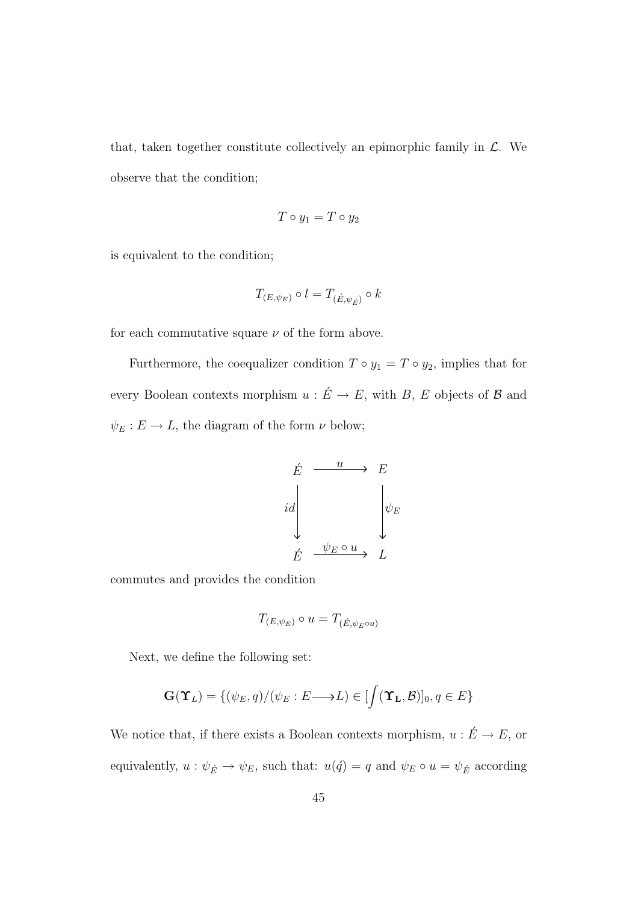that, taken together constitute collectively an epimorphic family in  $\mathcal{L}$ . We observe that the condition;

$$
T\circ y_1=T\circ y_2
$$

is equivalent to the condition;

$$
T_{(E,\psi_E)}\circ l=T_{(\acute{E},\psi_{\acute{E}})}\circ k
$$

for each commutative square  $\nu$  of the form above.

Furthermore, the coequalizer condition  $T \circ y_1 = T \circ y_2$ , implies that for every Boolean contexts morphism  $u : \acute{E} \rightarrow E$ , with B, E objects of B and  $\psi_E : E \to L$ , the diagram of the form  $\nu$  below;



commutes and provides the condition

$$
T_{(E,\psi_E)} \circ u = T_{(\acute{E},\psi_E \circ u)}
$$

Next, we define the following set:

$$
\mathbf{G}(\Upsilon_L) = \{ (\psi_E, q) / (\psi_E : E \longrightarrow L) \in [\int (\Upsilon_L, \mathcal{B})]_0, q \in E \}
$$

We notice that, if there exists a Boolean contexts morphism,  $u: \acute{E} \rightarrow E,$  or equivalently,  $u : \psi_{\acute{E}} \to \psi_E$ , such that:  $u(\acute{q}) = q$  and  $\psi_E \circ u = \psi_{\acute{E}}$  according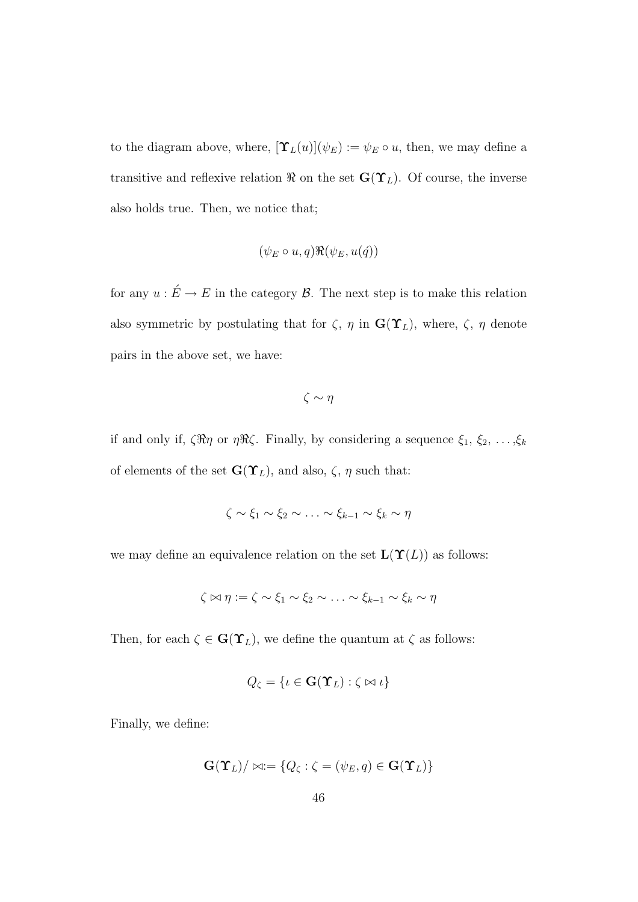to the diagram above, where,  $[\Upsilon_L(u)](\psi_E) := \psi_E \circ u$ , then, we may define a transitive and reflexive relation  $\Re$  on the set  $\mathbf{G}(\Upsilon_L)$ . Of course, the inverse also holds true. Then, we notice that;

$$
(\psi_E \circ u, q) \Re(\psi_E, u(\acute{q}))
$$

for any  $u : \acute{E} \to E$  in the category  $\mathcal{B}$ . The next step is to make this relation also symmetric by postulating that for  $\zeta$ ,  $\eta$  in  $\mathbf{G}(\Upsilon_L)$ , where,  $\zeta$ ,  $\eta$  denote pairs in the above set, we have:

 $\zeta \sim \eta$ 

if and only if,  $\zeta \Re \eta$  or  $\eta \Re \zeta$ . Finally, by considering a sequence  $\xi_1, \xi_2, \ldots, \xi_k$ of elements of the set  $\mathbf{G}(\Upsilon_L)$ , and also,  $\zeta$ ,  $\eta$  such that:

$$
\zeta \sim \xi_1 \sim \xi_2 \sim \ldots \sim \xi_{k-1} \sim \xi_k \sim \eta
$$

we may define an equivalence relation on the set  $\mathbf{L}(\Upsilon(L))$  as follows:

$$
\zeta \bowtie \eta := \zeta \sim \xi_1 \sim \xi_2 \sim \ldots \sim \xi_{k-1} \sim \xi_k \sim \eta
$$

Then, for each  $\zeta \in \mathbf{G}(\Upsilon_L)$ , we define the quantum at  $\zeta$  as follows:

$$
Q_{\zeta} = \{ \iota \in \mathbf{G}(\mathbf{\Upsilon}_L) : \zeta \bowtie \iota \}
$$

Finally, we define:

$$
\mathbf{G}(\mathbf{\Upsilon}_L)/\bowtie := \{Q_{\zeta} : \zeta = (\psi_E, q) \in \mathbf{G}(\mathbf{\Upsilon}_L)\}
$$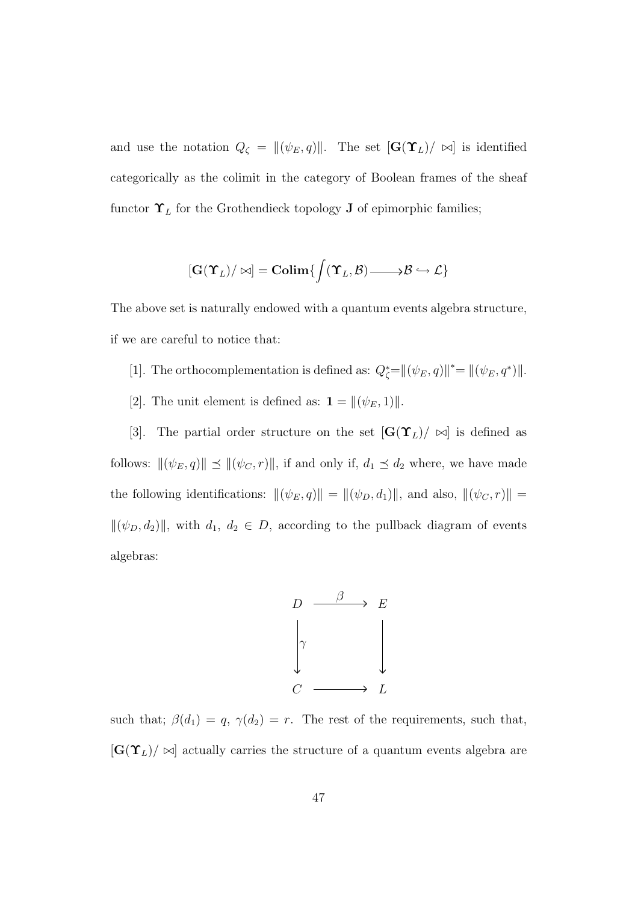and use the notation  $Q_{\zeta} = ||(\psi_E, q)||$ . The set  $[\mathbf{G}(\Upsilon_L)/ \bowtie]$  is identified categorically as the colimit in the category of Boolean frames of the sheaf functor  $\Upsilon_L$  for the Grothendieck topology **J** of epimorphic families;

$$
[\mathbf{G}(\Upsilon_L)/\bowtie]=\mathbf{Colim}\{\int (\Upsilon_L,\mathcal{B})\text{ and } \mathcal{B}\hookrightarrow \mathcal{L}\}
$$

The above set is naturally endowed with a quantum events algebra structure, if we are careful to notice that:

- [1]. The orthocomplementation is defined as:  $Q_{\zeta}^* = ||(\psi_E, q)||^* = ||(\psi_E, q^*)||$ .
- [2]. The unit element is defined as:  $\mathbf{1} = ||(\psi_E, 1)||$ .

[3]. The partial order structure on the set  $[\mathbf{G}(\Upsilon_L)/\bowtie]$  is defined as follows:  $\|(\psi_E, q)\| \leq \|(\psi_C, r)\|$ , if and only if,  $d_1 \leq d_2$  where, we have made the following identifications:  $\|(\psi_E, q)\| = \|(\psi_D, d_1)\|$ , and also,  $\|(\psi_C, r)\|$  =  $\|(\psi_D, d_2)\|$ , with  $d_1, d_2 \in D$ , according to the pullback diagram of events algebras:



such that;  $\beta(d_1) = q$ ,  $\gamma(d_2) = r$ . The rest of the requirements, such that,  $[\mathbf{G}(\Upsilon_L)/\bowtie]$  actually carries the structure of a quantum events algebra are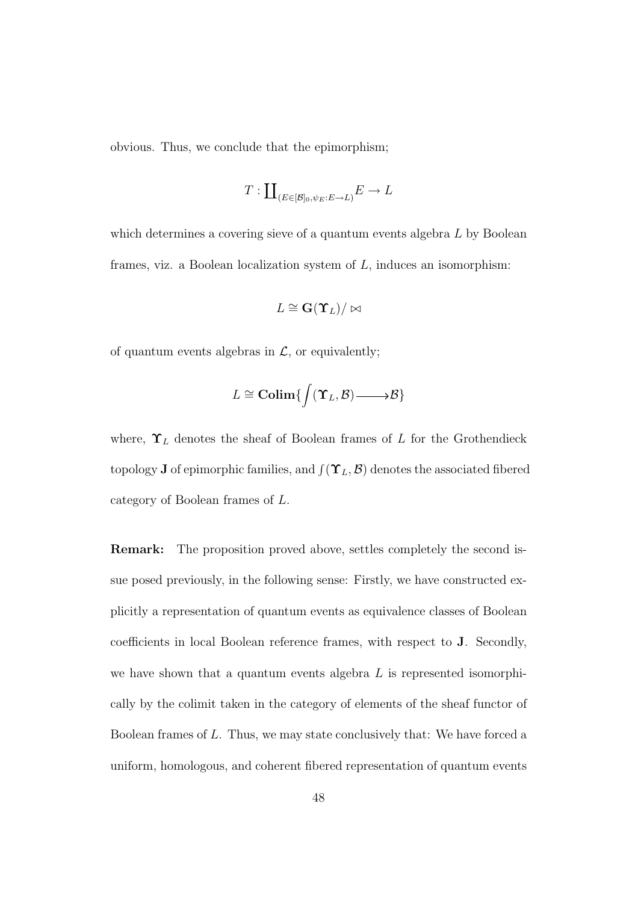obvious. Thus, we conclude that the epimorphism;

$$
T: \coprod_{(E \in [\mathcal{B}]_0, \psi_E : E \to L)} E \to L
$$

which determines a covering sieve of a quantum events algebra L by Boolean frames, viz. a Boolean localization system of  $L$ , induces an isomorphism:

$$
L \cong \mathbf{G}(\mathbf{\hat{T}}_L)/\bowtie
$$

of quantum events algebras in  $\mathcal{L}$ , or equivalently;

$$
L \cong \mathbf{Colim}\{\int (\mathbf{\Upsilon}_L, \mathcal{B}) \longrightarrow \mathcal{B}\}
$$

where,  $\Upsilon_L$  denotes the sheaf of Boolean frames of L for the Grothendieck topology **J** of epimorphic families, and  $\int (\Upsilon_L, \mathcal{B})$  denotes the associated fibered category of Boolean frames of L.

Remark: The proposition proved above, settles completely the second issue posed previously, in the following sense: Firstly, we have constructed explicitly a representation of quantum events as equivalence classes of Boolean coefficients in local Boolean reference frames, with respect to J. Secondly, we have shown that a quantum events algebra  $L$  is represented isomorphically by the colimit taken in the category of elements of the sheaf functor of Boolean frames of L. Thus, we may state conclusively that: We have forced a uniform, homologous, and coherent fibered representation of quantum events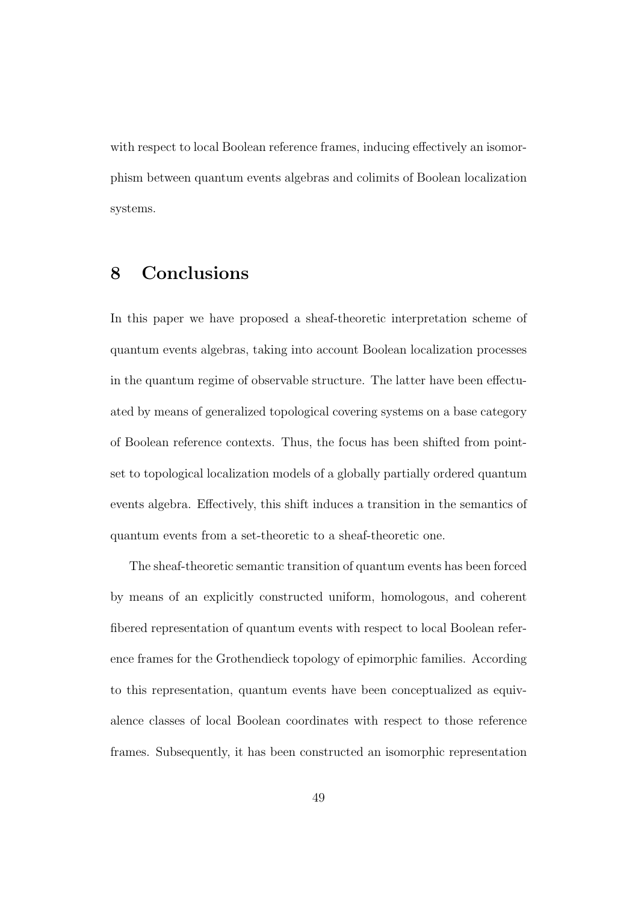with respect to local Boolean reference frames, inducing effectively an isomorphism between quantum events algebras and colimits of Boolean localization systems.

### 8 Conclusions

In this paper we have proposed a sheaf-theoretic interpretation scheme of quantum events algebras, taking into account Boolean localization processes in the quantum regime of observable structure. The latter have been effectuated by means of generalized topological covering systems on a base category of Boolean reference contexts. Thus, the focus has been shifted from pointset to topological localization models of a globally partially ordered quantum events algebra. Effectively, this shift induces a transition in the semantics of quantum events from a set-theoretic to a sheaf-theoretic one.

The sheaf-theoretic semantic transition of quantum events has been forced by means of an explicitly constructed uniform, homologous, and coherent fibered representation of quantum events with respect to local Boolean reference frames for the Grothendieck topology of epimorphic families. According to this representation, quantum events have been conceptualized as equivalence classes of local Boolean coordinates with respect to those reference frames. Subsequently, it has been constructed an isomorphic representation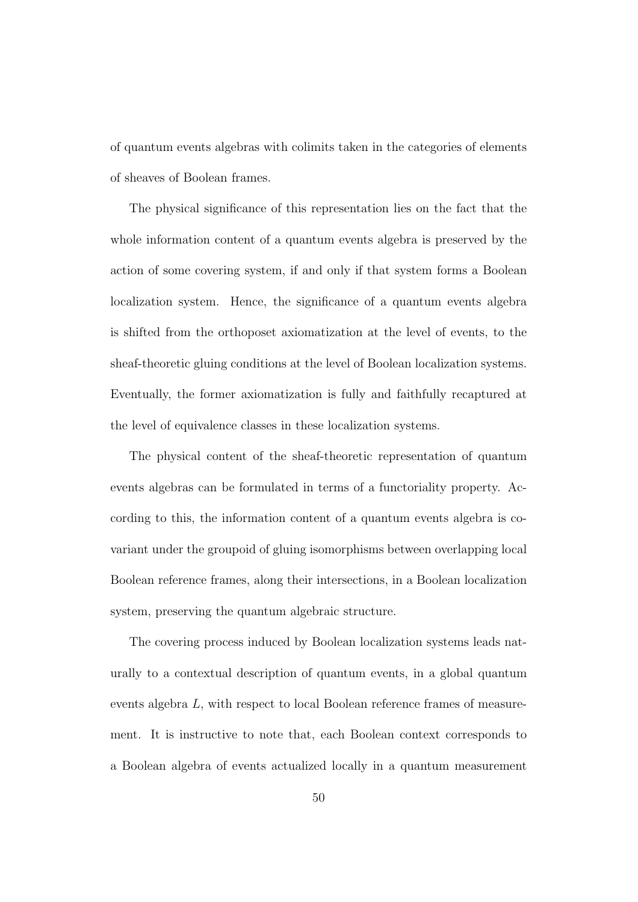of quantum events algebras with colimits taken in the categories of elements of sheaves of Boolean frames.

The physical significance of this representation lies on the fact that the whole information content of a quantum events algebra is preserved by the action of some covering system, if and only if that system forms a Boolean localization system. Hence, the significance of a quantum events algebra is shifted from the orthoposet axiomatization at the level of events, to the sheaf-theoretic gluing conditions at the level of Boolean localization systems. Eventually, the former axiomatization is fully and faithfully recaptured at the level of equivalence classes in these localization systems.

The physical content of the sheaf-theoretic representation of quantum events algebras can be formulated in terms of a functoriality property. According to this, the information content of a quantum events algebra is covariant under the groupoid of gluing isomorphisms between overlapping local Boolean reference frames, along their intersections, in a Boolean localization system, preserving the quantum algebraic structure.

The covering process induced by Boolean localization systems leads naturally to a contextual description of quantum events, in a global quantum events algebra L, with respect to local Boolean reference frames of measurement. It is instructive to note that, each Boolean context corresponds to a Boolean algebra of events actualized locally in a quantum measurement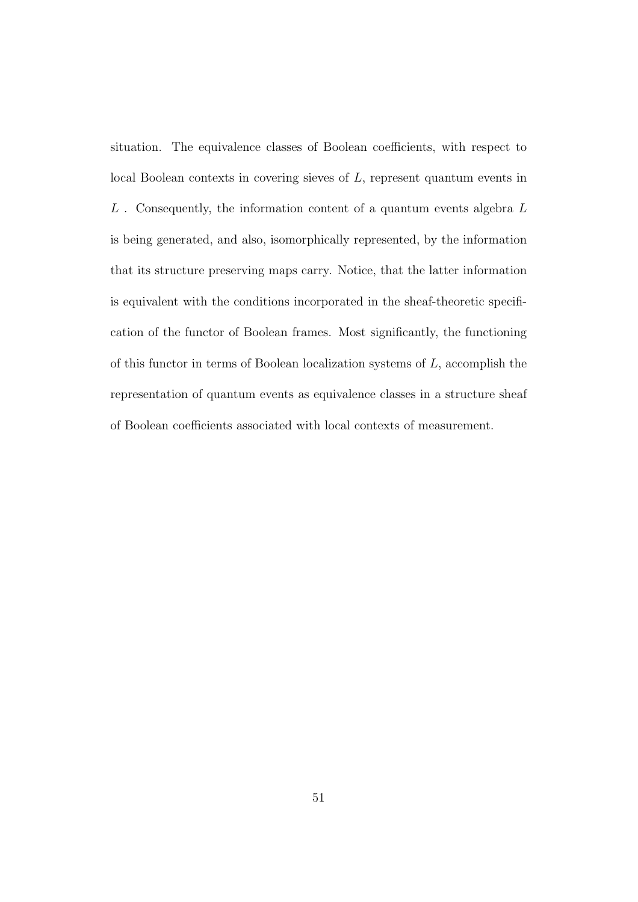situation. The equivalence classes of Boolean coefficients, with respect to local Boolean contexts in covering sieves of L, represent quantum events in  $L$ . Consequently, the information content of a quantum events algebra  $L$ is being generated, and also, isomorphically represented, by the information that its structure preserving maps carry. Notice, that the latter information is equivalent with the conditions incorporated in the sheaf-theoretic specification of the functor of Boolean frames. Most significantly, the functioning of this functor in terms of Boolean localization systems of L, accomplish the representation of quantum events as equivalence classes in a structure sheaf of Boolean coefficients associated with local contexts of measurement.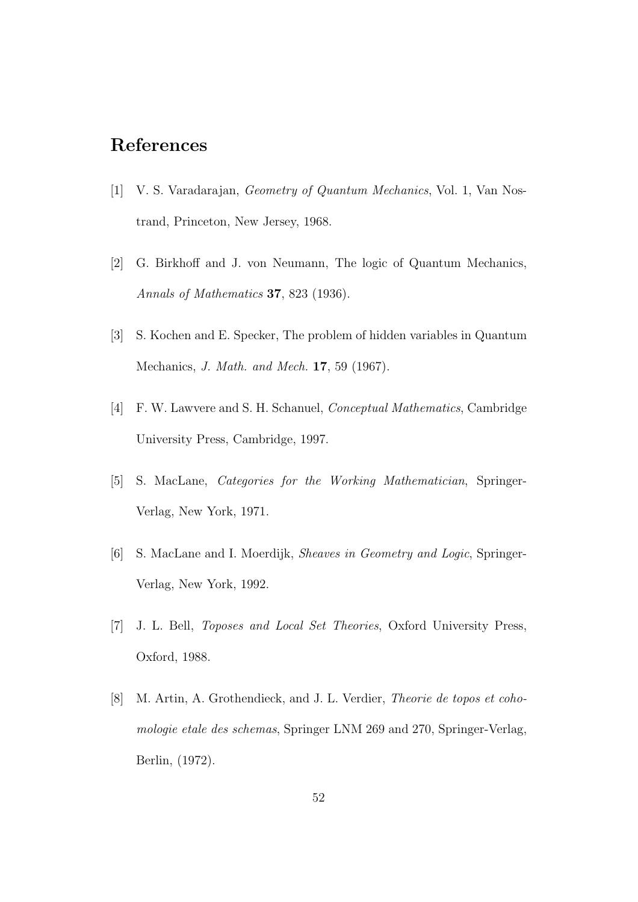### References

- [1] V. S. Varadarajan, Geometry of Quantum Mechanics, Vol. 1, Van Nostrand, Princeton, New Jersey, 1968.
- [2] G. Birkhoff and J. von Neumann, The logic of Quantum Mechanics, Annals of Mathematics 37, 823 (1936).
- [3] S. Kochen and E. Specker, The problem of hidden variables in Quantum Mechanics, J. Math. and Mech. 17, 59 (1967).
- [4] F. W. Lawvere and S. H. Schanuel, Conceptual Mathematics, Cambridge University Press, Cambridge, 1997.
- [5] S. MacLane, Categories for the Working Mathematician, Springer-Verlag, New York, 1971.
- [6] S. MacLane and I. Moerdijk, Sheaves in Geometry and Logic, Springer-Verlag, New York, 1992.
- [7] J. L. Bell, Toposes and Local Set Theories, Oxford University Press, Oxford, 1988.
- [8] M. Artin, A. Grothendieck, and J. L. Verdier, Theorie de topos et cohomologie etale des schemas, Springer LNM 269 and 270, Springer-Verlag, Berlin, (1972).